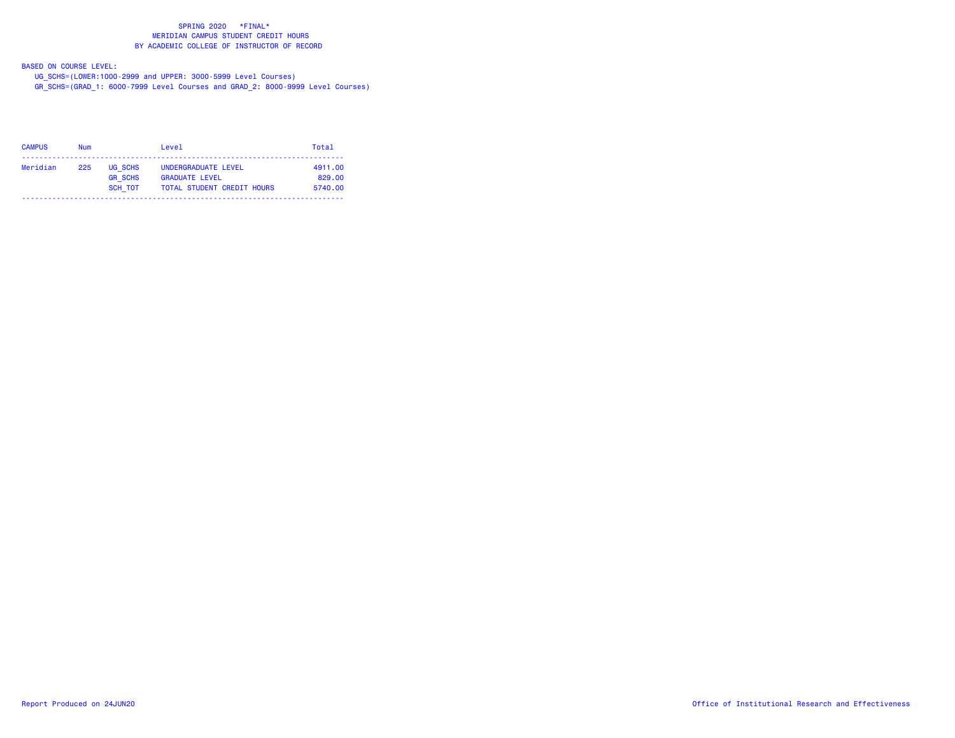BASED ON COURSE LEVEL:

UG\_SCHS=(LOWER:1000-2999 and UPPER: 3000-5999 Level Courses)

GR\_SCHS=(GRAD\_1: 6000-7999 Level Courses and GRAD\_2: 8000-9999 Level Courses)

| <b>CAMPUS</b> | Num |                           | Level                                        | Total             |
|---------------|-----|---------------------------|----------------------------------------------|-------------------|
| Meridian      | 225 | UG SCHS<br><b>GR SCHS</b> | UNDERGRADUATE LEVEL<br><b>GRADUATE LEVEL</b> | 4911.00<br>829.00 |
|               |     | SCH TOT                   | <b>TOTAL STUDENT CREDIT HOURS</b>            | 5740.00           |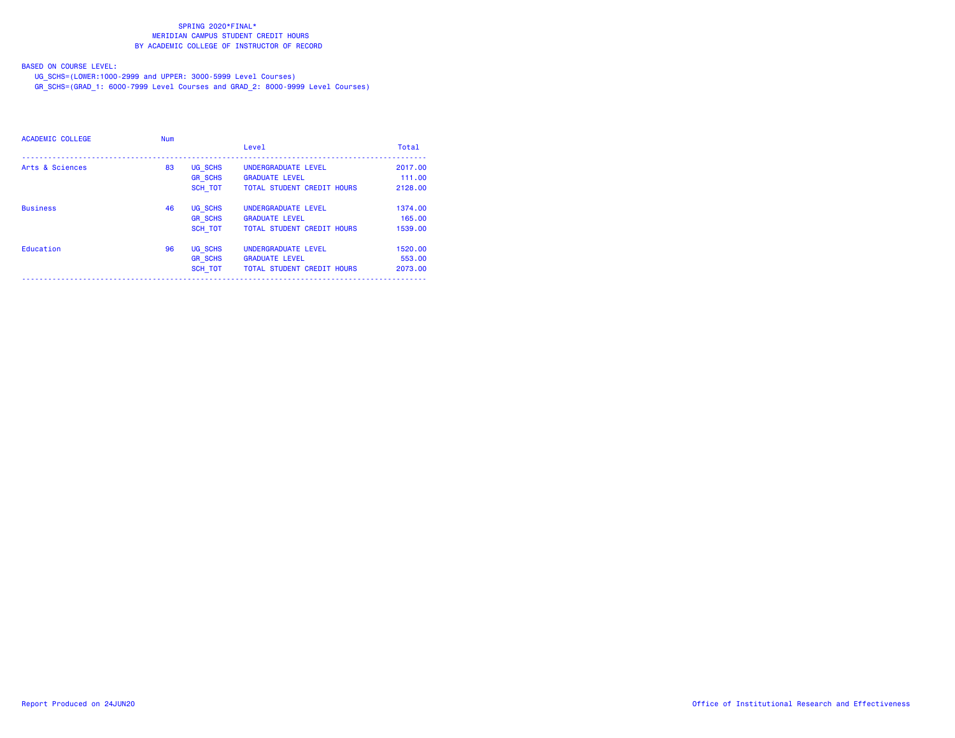BASED ON COURSE LEVEL:

UG\_SCHS=(LOWER:1000-2999 and UPPER: 3000-5999 Level Courses)

GR\_SCHS=(GRAD\_1: 6000-7999 Level Courses and GRAD\_2: 8000-9999 Level Courses)

| ACADEMIC COLLEGE | <b>Num</b> |                | Level                             | Total   |
|------------------|------------|----------------|-----------------------------------|---------|
| Arts & Sciences  | 83         | <b>UG SCHS</b> | UNDERGRADUATE LEVEL               | 2017.00 |
|                  |            | <b>GR SCHS</b> | <b>GRADUATE LEVEL</b>             | 111.00  |
|                  |            | <b>SCH TOT</b> | <b>TOTAL STUDENT CREDIT HOURS</b> | 2128,00 |
| <b>Business</b>  | 46         | <b>UG SCHS</b> | UNDERGRADUATE LEVEL               | 1374.00 |
|                  |            | <b>GR SCHS</b> | <b>GRADUATE LEVEL</b>             | 165,00  |
|                  |            | <b>SCH TOT</b> | <b>TOTAL STUDENT CREDIT HOURS</b> | 1539.00 |
| Education        | 96         | UG SCHS        | UNDERGRADUATE LEVEL               | 1520.00 |
|                  |            | <b>GR SCHS</b> | <b>GRADUATE LEVEL</b>             | 553.00  |
|                  |            | <b>SCH TOT</b> | <b>TOTAL STUDENT CREDIT HOURS</b> | 2073.00 |
|                  |            |                |                                   |         |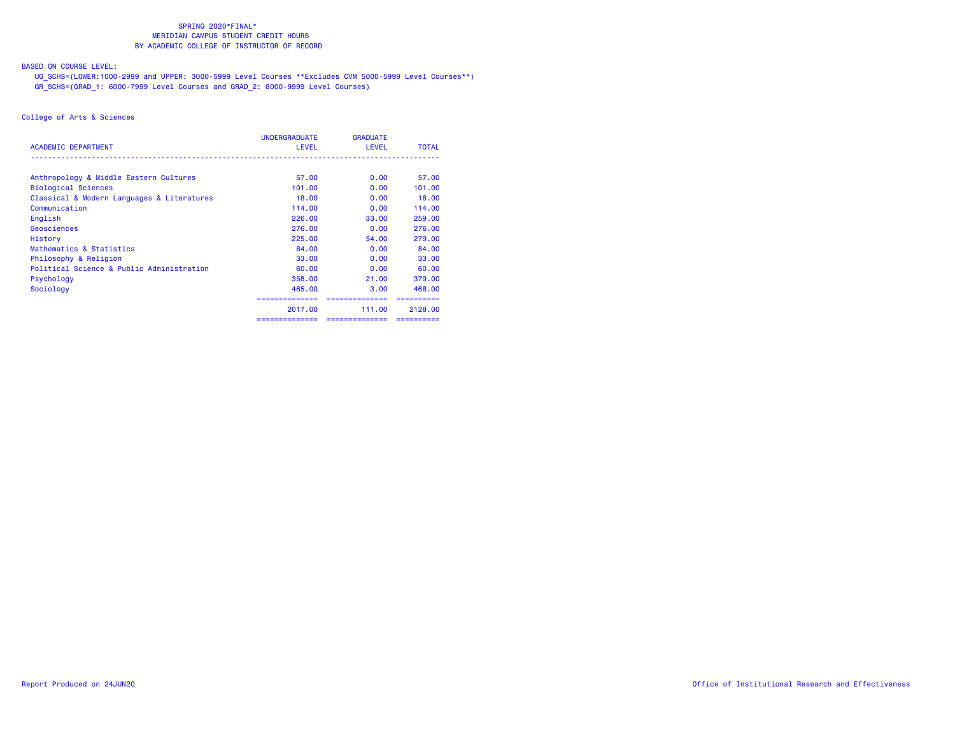## BASED ON COURSE LEVEL:

 UG\_SCHS=(LOWER:1000-2999 and UPPER: 3000-5999 Level Courses \*\*Excludes CVM 5000-5999 Level Courses\*\*) GR\_SCHS=(GRAD\_1: 6000-7999 Level Courses and GRAD\_2: 8000-9999 Level Courses)

|                                            | <b>UNDERGRADUATE</b> | <b>GRADUATE</b>           |              |
|--------------------------------------------|----------------------|---------------------------|--------------|
| <b>ACADEMIC DEPARTMENT</b>                 | LEVEL                | <b>LEVEL</b>              | <b>TOTAL</b> |
| Anthropology & Middle Eastern Cultures     | 57.00                | 0.00                      | 57.00        |
| <b>Biological Sciences</b>                 | 101.00               | 0.00                      | 101.00       |
| Classical & Modern Languages & Literatures | 18,00                | 0.00                      | 18,00        |
| Communication                              | 114.00               | 0.00                      | 114.00       |
| English                                    | 226.00               | 33,00                     | 259,00       |
| Geosciences                                | 276,00               | 0.00                      | 276.00       |
| History                                    | 225.00               | 54.00                     | 279.00       |
| Mathematics & Statistics                   | 84.00                | 0.00                      | 84.00        |
| Philosophy & Religion                      | 33,00                | 0.00                      | 33,00        |
| Political Science & Public Administration  | 60.00                | 0.00                      | 60.00        |
| Psychology                                 | 358,00               | 21,00                     | 379.00       |
| Sociology                                  | 465,00               | 3.00                      | 468,00       |
|                                            |                      | . = = = = = = = = = = = = |              |
|                                            | 2017,00              | 111.00                    | 2128.00      |
|                                            | ==============       | ==============            | ==========   |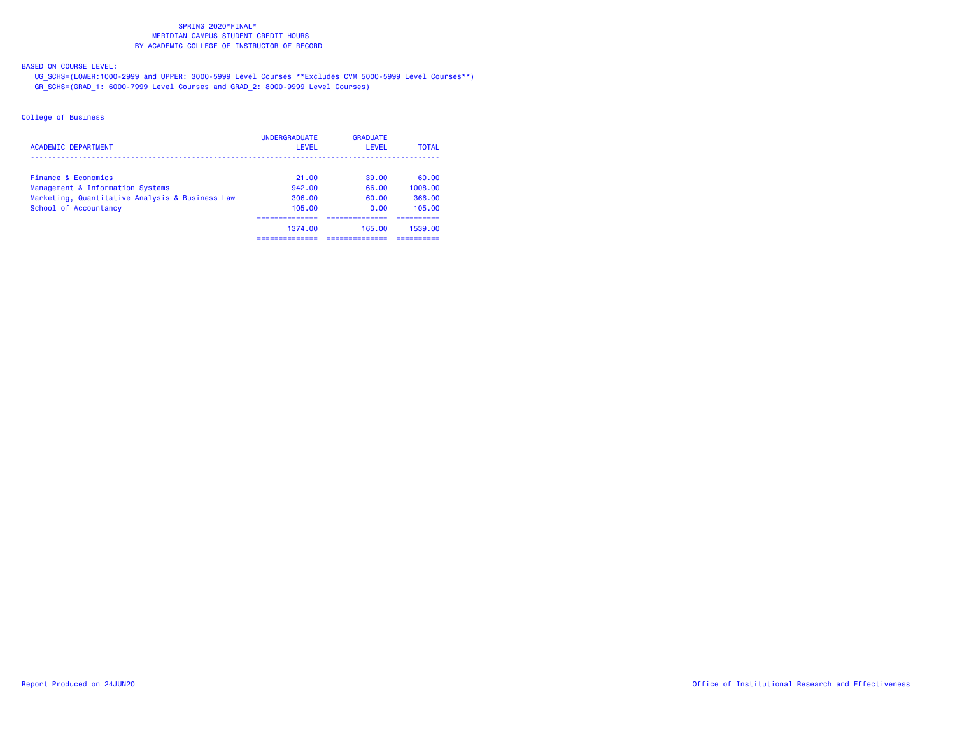BASED ON COURSE LEVEL:

 UG\_SCHS=(LOWER:1000-2999 and UPPER: 3000-5999 Level Courses \*\*Excludes CVM 5000-5999 Level Courses\*\*) GR\_SCHS=(GRAD\_1: 6000-7999 Level Courses and GRAD\_2: 8000-9999 Level Courses)

| <b>ACADEMIC DEPARTMENT</b>                      | <b>UNDERGRADUATE</b><br>LEVEL | <b>GRADUATE</b><br>LEVEL | <b>TOTAL</b> |
|-------------------------------------------------|-------------------------------|--------------------------|--------------|
| Finance & Economics                             | 21.00                         | 39.00                    | 60.00        |
| Management & Information Systems                | 942.00                        | 66.00                    | 1008.00      |
| Marketing, Quantitative Analysis & Business Law | 306.00                        | 60.00                    | 366.00       |
| School of Accountancy                           | 105.00                        | 0.00                     | 105.00       |
|                                                 | ---------                     |                          |              |
|                                                 | 1374.00                       | 165.00                   | 1539.00      |
|                                                 |                               |                          |              |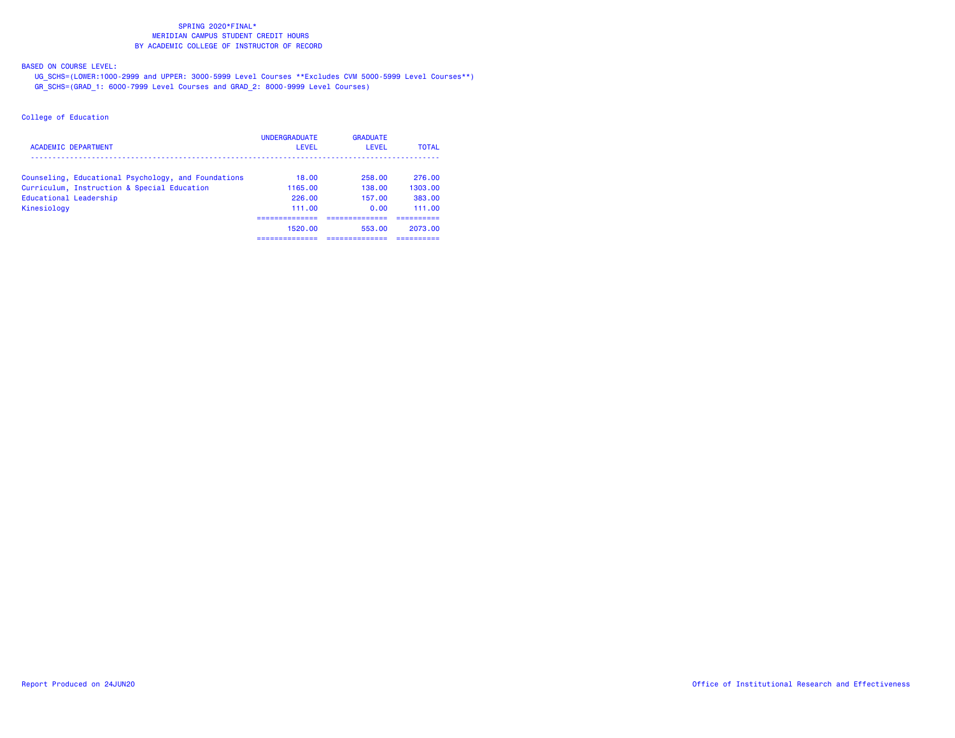BASED ON COURSE LEVEL:

 UG\_SCHS=(LOWER:1000-2999 and UPPER: 3000-5999 Level Courses \*\*Excludes CVM 5000-5999 Level Courses\*\*) GR\_SCHS=(GRAD\_1: 6000-7999 Level Courses and GRAD\_2: 8000-9999 Level Courses)

| ACADEMIC DEPARTMENT                                 | <b>UNDERGRADUATE</b><br>LEVEL | <b>GRADUATE</b><br>LEVEL | <b>TOTAL</b> |
|-----------------------------------------------------|-------------------------------|--------------------------|--------------|
| Counseling, Educational Psychology, and Foundations | 18.00                         | 258.00                   | 276.00       |
| Curriculum, Instruction & Special Education         | 1165.00                       | 138.00                   | 1303.00      |
| Educational Leadership                              | 226.00                        | 157.00                   | 383.00       |
| Kinesiology                                         | 111.00                        | 0.00                     | 111.00       |
|                                                     | -------------<br>1520.00      | ----------<br>553.00     | 2073.00      |
|                                                     |                               |                          |              |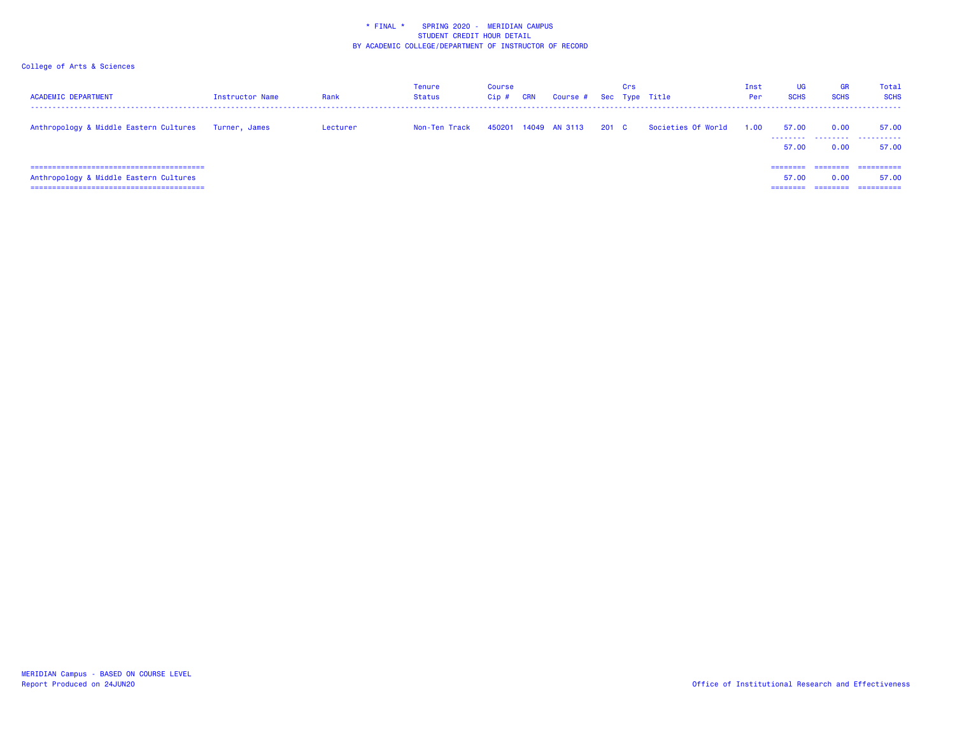| <b>ACADEMIC DEPARTMENT</b>                                               | Instructor Name | Rank     | Tenure<br><b>Status</b> | Course<br>$Cip$ # | CRN | Course # Sec Type Title |       | Crs |                    | Inst<br>Per | UG<br><b>SCHS</b> | GR<br><b>SCHS</b> | Total<br><b>SCHS</b>              |
|--------------------------------------------------------------------------|-----------------|----------|-------------------------|-------------------|-----|-------------------------|-------|-----|--------------------|-------------|-------------------|-------------------|-----------------------------------|
| Anthropology & Middle Eastern Cultures                                   | Turner, James   | Lecturer | Non-Ten Track           |                   |     | 450201 14049 AN 3113    | 201 C |     | Societies Of World | 1.00        | 57.00<br>57.00    | 0.00<br>0.00      | 57.00<br><br>57.00                |
| Anthropology & Middle Eastern Cultures<br>------------------------------ |                 |          |                         |                   |     |                         |       |     |                    |             | 57.00             | 0.00              | ==========<br>57.00<br>========== |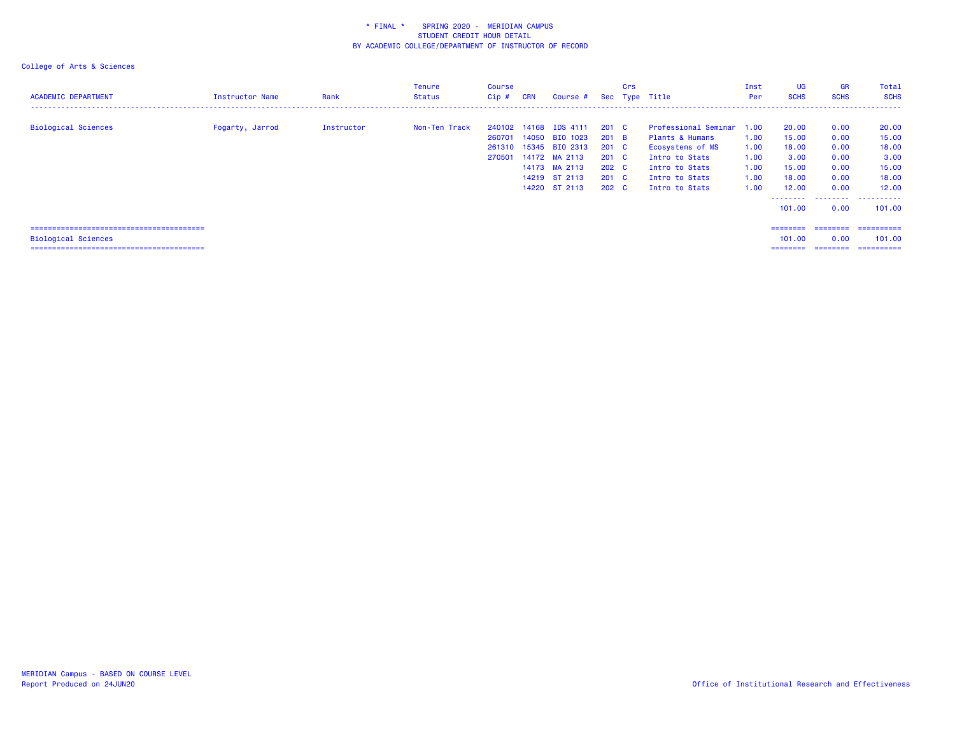| <b>ACADEMIC DEPARTMENT</b> | Instructor Name | Rank       | Tenure<br>Status | Course<br>Cip# | <b>CRN</b> | Course #              |               | Crs | Sec Type Title            | Inst<br>Per | <b>UG</b><br><b>SCHS</b> | <b>GR</b><br><b>SCHS</b> | Total<br><b>SCHS</b>      |
|----------------------------|-----------------|------------|------------------|----------------|------------|-----------------------|---------------|-----|---------------------------|-------------|--------------------------|--------------------------|---------------------------|
|                            |                 |            |                  |                |            |                       |               |     |                           |             |                          |                          |                           |
| <b>Biological Sciences</b> | Fogarty, Jarrod | Instructor | Non-Ten Track    |                |            | 240102 14168 IDS 4111 | 201 C         |     | Professional Seminar 1.00 |             | 20.00                    | 0.00                     | 20.00                     |
|                            |                 |            |                  | 260701         |            | 14050 BIO 1023        | 201 B         |     | Plants & Humans           | 1.00        | 15.00                    | 0.00                     | 15.00                     |
|                            |                 |            |                  | 261310         |            | 15345 BIO 2313        | $201 \quad C$ |     | Ecosystems of MS          | 1.00        | 18.00                    | 0.00                     | 18.00                     |
|                            |                 |            |                  | 270501         |            | 14172 MA 2113         | $201 \quad C$ |     | Intro to Stats            | 1.00        | 3.00                     | 0.00                     | 3.00                      |
|                            |                 |            |                  |                |            | 14173 MA 2113         | $202 \quad C$ |     | Intro to Stats            | 1.00        | 15.00                    | 0.00                     | 15.00                     |
|                            |                 |            |                  |                |            | 14219 ST 2113         | $201 \quad C$ |     | Intro to Stats            | 1.00        | 18.00                    | 0.00                     | 18.00                     |
|                            |                 |            |                  |                |            | 14220 ST 2113         | 202 C         |     | Intro to Stats            | 1.00        | 12.00                    | 0.00                     | 12.00                     |
|                            |                 |            |                  |                |            |                       |               |     |                           |             |                          |                          |                           |
|                            |                 |            |                  |                |            |                       |               |     |                           |             | 101.00                   | 0.00                     | 101.00                    |
|                            |                 |            |                  |                |            |                       |               |     |                           |             | ---------                |                          | _________________________ |
| <b>Biological Sciences</b> |                 |            |                  |                |            |                       |               |     |                           |             | 101.00                   | 0.00                     | 101.00                    |
|                            |                 |            |                  |                |            |                       |               |     |                           |             | ========                 |                          | ________________________  |
|                            |                 |            |                  |                |            |                       |               |     |                           |             |                          |                          |                           |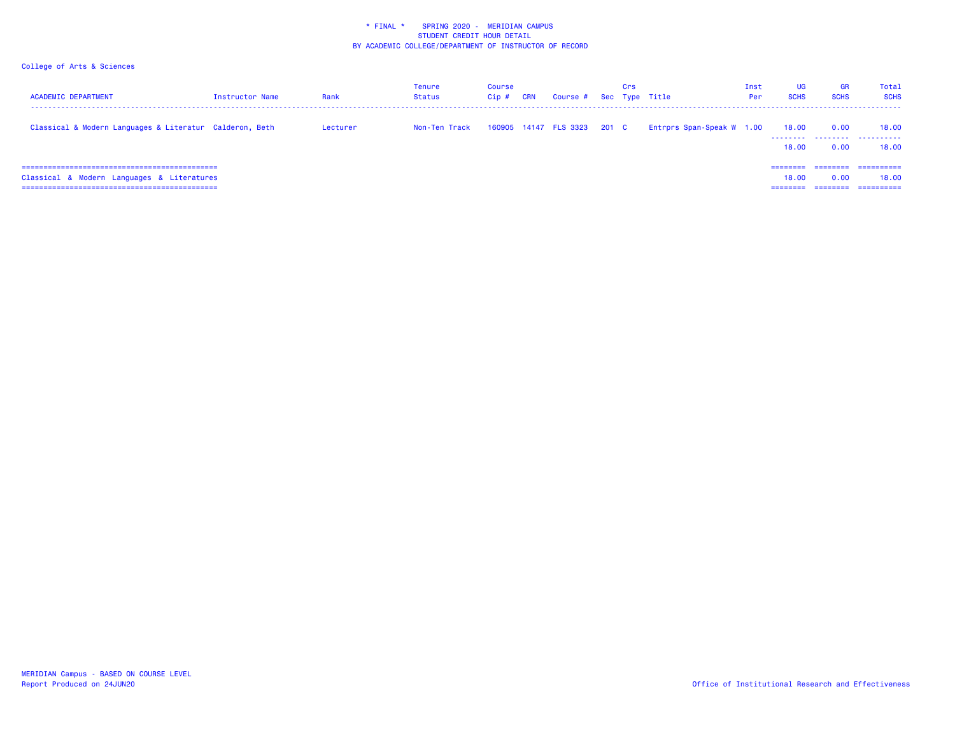| <b>ACADEMIC DEPARTMENT</b>                              | Instructor Name | Rank     | Tenure<br>Status | Course<br>$Cip$ # | CRN | Course # Sec Type Title     | Crs |                           | Inst<br>Per | <b>UG</b><br><b>SCHS</b> | <b>GR</b><br><b>SCHS</b> | Total<br><b>SCHS</b>              |
|---------------------------------------------------------|-----------------|----------|------------------|-------------------|-----|-----------------------------|-----|---------------------------|-------------|--------------------------|--------------------------|-----------------------------------|
| Classical & Modern Languages & Literatur Calderon, Beth |                 | Lecturer | Non-Ten Track    |                   |     | 160905 14147 FLS 3323 201 C |     | Entrprs Span-Speak W 1.00 |             | 18.00<br>.<br>18.00      | 0.00<br>.<br>0.00        | 18.00<br>.<br>18.00               |
| Classical & Modern Languages & Literatures              |                 |          |                  |                   |     |                             |     |                           |             | 18.00                    | 0.00                     | ==========<br>18.00<br>========== |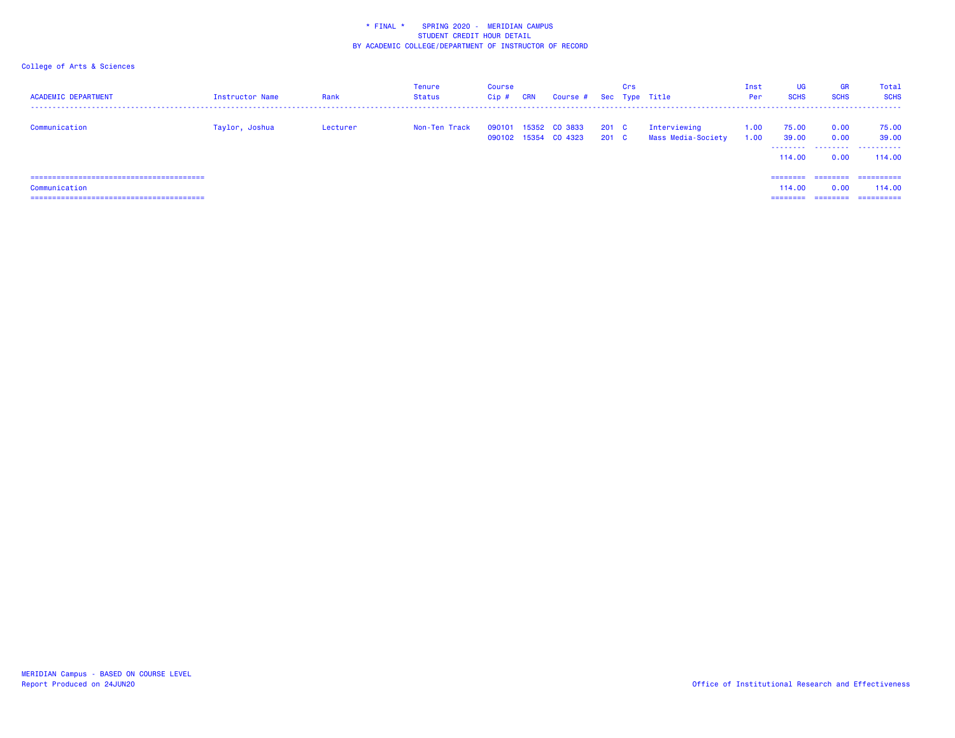| <b>ACADEMIC DEPARTMENT</b> | Instructor Name | Rank     | Tenure<br>Status | Course<br>$Cip$ # | CRN | Course # Sec Type Title               |                | Crs |                                    | Inst<br>Per  | <b>UG</b><br><b>SCHS</b>        | <b>GR</b><br><b>SCHS</b> | Total<br><b>SCHS</b>         |
|----------------------------|-----------------|----------|------------------|-------------------|-----|---------------------------------------|----------------|-----|------------------------------------|--------------|---------------------------------|--------------------------|------------------------------|
| Communication              | Taylor, Joshua  | Lecturer | Non-Ten Track    | 090101            |     | 15352 CO 3833<br>090102 15354 CO 4323 | 201 C<br>201 C |     | Interviewing<br>Mass Media-Society | 1.00<br>1.00 | 75.00<br>39.00<br>114.00        | 0.00<br>0.00<br>0.00     | 75.00<br>39.00<br><br>114,00 |
| Communication              |                 |          |                  |                   |     |                                       |                |     |                                    |              | ========<br>114.00<br>--------- | 0.00<br>========         | 114,00<br>==========         |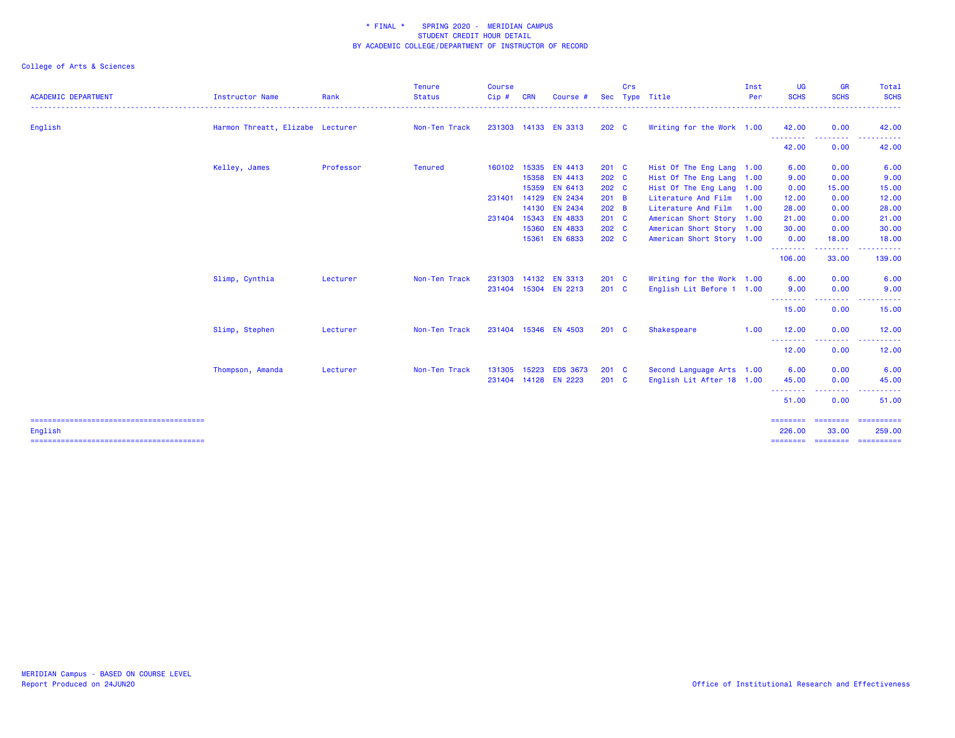| <b>ACADEMIC DEPARTMENT</b> | <b>Instructor Name</b>           | Rank      | <b>Tenure</b><br><b>Status</b> | <b>Course</b><br>Cip# | <b>CRN</b> | Course #             | <b>Sec</b>       | Crs | Type Title                | Inst<br>Per | <b>UG</b><br><b>SCHS</b> | <b>GR</b><br><b>SCHS</b>                                                                                                          | Total<br><b>SCHS</b>                                                                                                                                 |
|----------------------------|----------------------------------|-----------|--------------------------------|-----------------------|------------|----------------------|------------------|-----|---------------------------|-------------|--------------------------|-----------------------------------------------------------------------------------------------------------------------------------|------------------------------------------------------------------------------------------------------------------------------------------------------|
|                            |                                  |           |                                |                       |            |                      |                  |     |                           |             |                          |                                                                                                                                   | $\frac{1}{2} \left( \frac{1}{2} \right) \left( \frac{1}{2} \right) \left( \frac{1}{2} \right) \left( \frac{1}{2} \right) \left( \frac{1}{2} \right)$ |
| English                    | Harmon Threatt, Elizabe Lecturer |           | Non-Ten Track                  |                       |            | 231303 14133 EN 3313 | 202 <sub>c</sub> |     | Writing for the Work 1.00 |             | 42.00<br>.               | 0.00<br>$\frac{1}{2} \left( \frac{1}{2} \right) \left( \frac{1}{2} \right) \left( \frac{1}{2} \right) \left( \frac{1}{2} \right)$ | 42.00                                                                                                                                                |
|                            |                                  |           |                                |                       |            |                      |                  |     |                           |             | 42.00                    | 0.00                                                                                                                              | 42.00                                                                                                                                                |
|                            | Kelley, James                    | Professor | <b>Tenured</b>                 | 160102                |            | 15335 EN 4413        | $201$ C          |     | Hist Of The Eng Lang 1.00 |             | 6.00                     | 0.00                                                                                                                              | 6.00                                                                                                                                                 |
|                            |                                  |           |                                |                       |            | 15358 EN 4413        | 202 C            |     | Hist Of The Eng Lang      | 1.00        | 9.00                     | 0.00                                                                                                                              | 9.00                                                                                                                                                 |
|                            |                                  |           |                                |                       | 15359      | <b>EN 6413</b>       | 202 C            |     | Hist Of The Eng Lang 1.00 |             | 0.00                     | 15.00                                                                                                                             | 15.00                                                                                                                                                |
|                            |                                  |           |                                | 231401                | 14129      | EN 2434              | $201$ B          |     | Literature And Film       | 1.00        | 12.00                    | 0.00                                                                                                                              | 12.00                                                                                                                                                |
|                            |                                  |           |                                |                       |            | 14130 EN 2434        | 202 B            |     | Literature And Film       | 1.00        | 28.00                    | 0.00                                                                                                                              | 28.00                                                                                                                                                |
|                            |                                  |           |                                | 231404                | 15343      | <b>EN 4833</b>       | 201 C            |     | American Short Story 1.00 |             | 21.00                    | 0.00                                                                                                                              | 21.00                                                                                                                                                |
|                            |                                  |           |                                |                       |            | 15360 EN 4833        | 202 <sub>c</sub> |     | American Short Story 1.00 |             | 30.00                    | 0.00                                                                                                                              | 30.00                                                                                                                                                |
|                            |                                  |           |                                |                       | 15361      | <b>EN 6833</b>       | 202 C            |     | American Short Story 1.00 |             | 0.00<br>.                | 18,00<br>.                                                                                                                        | 18.00                                                                                                                                                |
|                            |                                  |           |                                |                       |            |                      |                  |     |                           |             | 106.00                   | 33.00                                                                                                                             | 139.00                                                                                                                                               |
|                            | Slimp, Cynthia                   | Lecturer  | Non-Ten Track                  | 231303                |            | 14132 EN 3313        | $201$ C          |     | Writing for the Work 1.00 |             | 6.00                     | 0.00                                                                                                                              | 6.00                                                                                                                                                 |
|                            |                                  |           |                                | 231404                |            | 15304 EN 2213        | $201$ C          |     | English Lit Before 1 1.00 |             | 9.00                     | 0.00                                                                                                                              | 9.00                                                                                                                                                 |
|                            |                                  |           |                                |                       |            |                      |                  |     |                           |             | .<br>15.00               | $  -$<br>0.00                                                                                                                     | 15.00                                                                                                                                                |
|                            | Slimp, Stephen                   | Lecturer  | Non-Ten Track                  | 231404                |            | 15346 EN 4503        | $201 \quad C$    |     | Shakespeare               | 1.00        | 12.00                    | 0.00                                                                                                                              | 12.00                                                                                                                                                |
|                            |                                  |           |                                |                       |            |                      |                  |     |                           |             | --------<br>12.00        | $\frac{1}{2} \left( \frac{1}{2} \right) \left( \frac{1}{2} \right) \left( \frac{1}{2} \right) \left( \frac{1}{2} \right)$<br>0.00 | 12.00                                                                                                                                                |
|                            | Thompson, Amanda                 | Lecturer  | Non-Ten Track                  | 131305                | 15223      | <b>EDS 3673</b>      | $201$ C          |     | Second Language Arts 1.00 |             | 6.00                     | 0.00                                                                                                                              | 6.00                                                                                                                                                 |
|                            |                                  |           |                                |                       |            | 231404 14128 EN 2223 | 201 C            |     | English Lit After 18 1.00 |             | 45.00                    | 0.00                                                                                                                              | 45.00                                                                                                                                                |
|                            |                                  |           |                                |                       |            |                      |                  |     |                           |             | .<br>51.00               | .<br>0.00                                                                                                                         | 51.00                                                                                                                                                |
| English                    |                                  |           |                                |                       |            |                      |                  |     |                           |             | ========<br>226.00       | ========<br>33,00                                                                                                                 | ==========<br>259.00                                                                                                                                 |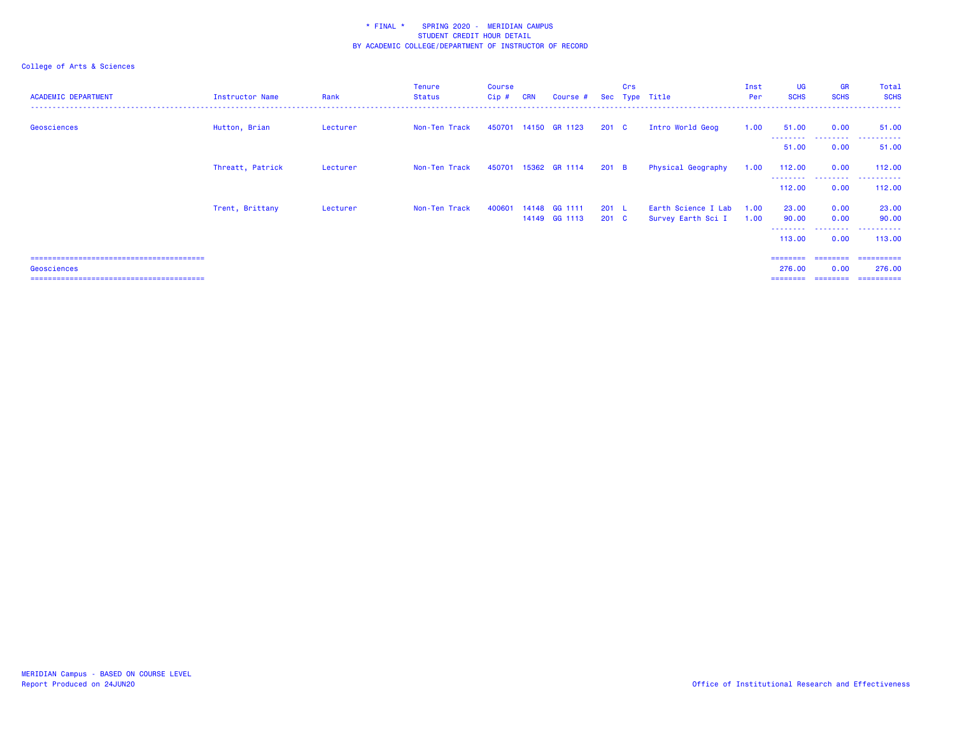| <b>ACADEMIC DEPARTMENT</b> | <b>Instructor Name</b> | Rank     | <b>Tenure</b><br><b>Status</b> | Course<br>$Cip$ # | <b>CRN</b> | Course #                 |                        | Crs | Sec Type Title                            | Inst<br>Per  | UG<br><b>SCHS</b>                        | <b>GR</b><br><b>SCHS</b> | Total<br><b>SCHS</b>                             |
|----------------------------|------------------------|----------|--------------------------------|-------------------|------------|--------------------------|------------------------|-----|-------------------------------------------|--------------|------------------------------------------|--------------------------|--------------------------------------------------|
| Geosciences                | Hutton, Brian          | Lecturer | Non-Ten Track                  | 450701            |            | 14150 GR 1123            | $201 \quad C$          |     | Intro World Geog                          | 1.00         | 51.00                                    | 0.00<br>--------         | 51.00<br>. <u>.</u> .                            |
|                            |                        |          |                                |                   |            |                          |                        |     |                                           |              | 51.00                                    | 0.00                     | 51.00                                            |
|                            | Threatt, Patrick       | Lecturer | Non-Ten Track                  | 450701            |            | 15362 GR 1114            | 201 B                  |     | Physical Geography                        | 1.00         | 112.00                                   | 0.00                     | 112.00                                           |
|                            |                        |          |                                |                   |            |                          |                        |     |                                           |              | - - - - - - - - <b>-</b><br>112.00       | ---------<br>0.00        | ----------<br>112.00                             |
|                            | Trent, Brittany        | Lecturer | Non-Ten Track                  | 400601            | 14148      | GG 1111<br>14149 GG 1113 | 201 L<br>$201 \quad C$ |     | Earth Science I Lab<br>Survey Earth Sci I | 1.00<br>1.00 | 23.00<br>90.00                           | 0.00<br>0.00             | 23.00<br>90.00                                   |
|                            |                        |          |                                |                   |            |                          |                        |     |                                           |              | --------<br>113.00                       | ---------<br>0.00        | ----------<br>113.00                             |
| Geosciences                |                        |          |                                |                   |            |                          |                        |     |                                           |              | ========<br>276.00<br>========= ======== | 0.00                     | ________________________<br>276.00<br>========== |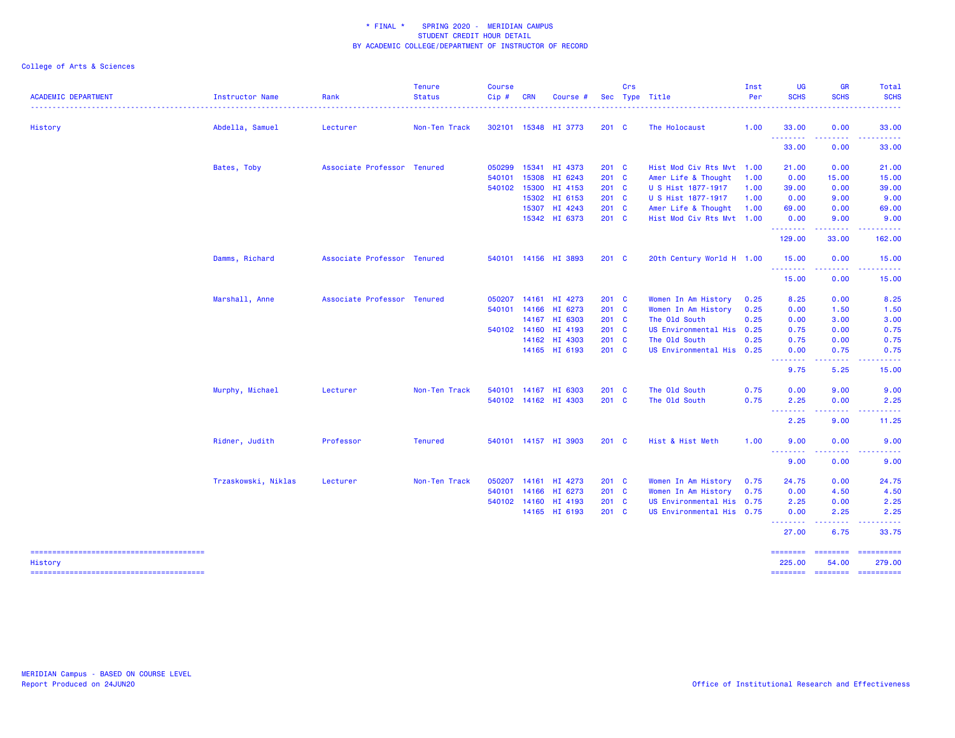| <b>ACADEMIC DEPARTMENT</b> | Instructor Name<br>. <b>.</b> . | Rank                        | <b>Tenure</b><br><b>Status</b> | <b>Course</b><br>Cip# | <b>CRN</b>   | Course #             |               | Crs | Sec Type Title            | Inst<br>Per | <b>UG</b><br><b>SCHS</b> | <b>GR</b><br><b>SCHS</b>    | Total<br><b>SCHS</b><br>. <u>.</u> |
|----------------------------|---------------------------------|-----------------------------|--------------------------------|-----------------------|--------------|----------------------|---------------|-----|---------------------------|-------------|--------------------------|-----------------------------|------------------------------------|
| History                    | Abdella, Samuel                 | Lecturer                    | Non-Ten Track                  |                       |              | 302101 15348 HI 3773 | $201 \quad C$ |     | The Holocaust             | 1.00        | 33.00                    | 0.00                        | 33.00                              |
|                            |                                 |                             |                                |                       |              |                      |               |     |                           |             | <u>.</u><br>33.00        | .<br>0.00                   | 33.00                              |
|                            | Bates, Toby                     | Associate Professor Tenured |                                | 050299                |              | 15341 HI 4373        | 201 C         |     | Hist Mod Civ Rts Mvt 1.00 |             | 21.00                    | 0.00                        | 21.00                              |
|                            |                                 |                             |                                | 540101                | 15308        | HI 6243              | 201 C         |     | Amer Life & Thought       | 1.00        | 0.00                     | 15.00                       | 15.00                              |
|                            |                                 |                             |                                | 540102                | 15300        | HI 4153              | 201 C         |     | U S Hist 1877-1917        | 1.00        | 39.00                    | 0.00                        | 39.00                              |
|                            |                                 |                             |                                |                       |              | 15302 HI 6153        | 201 C         |     | U S Hist 1877-1917        | 1.00        | 0.00                     | 9.00                        | 9.00                               |
|                            |                                 |                             |                                |                       |              | 15307 HI 4243        | 201 C         |     | Amer Life & Thought       | 1.00        | 69.00                    | 0.00                        | 69.00                              |
|                            |                                 |                             |                                |                       |              | 15342 HI 6373        | 201 C         |     | Hist Mod Civ Rts Mvt 1.00 |             | 0.00<br>.                | 9.00                        | 9.00                               |
|                            |                                 |                             |                                |                       |              |                      |               |     |                           |             | 129.00                   | 33.00                       | 162.00                             |
|                            | Damms, Richard                  | Associate Professor Tenured |                                |                       |              | 540101 14156 HI 3893 | $201 \quad C$ |     | 20th Century World H 1.00 |             | 15.00<br>.               | 0.00<br>.                   | 15.00                              |
|                            |                                 |                             |                                |                       |              |                      |               |     |                           |             | 15.00                    | 0.00                        | 15.00                              |
|                            | Marshall, Anne                  | Associate Professor Tenured |                                | 050207                |              | 14161 HI 4273        | 201 C         |     | Women In Am History       | 0.25        | 8.25                     | 0.00                        | 8.25                               |
|                            |                                 |                             |                                | 540101                |              | 14166 HI 6273        | 201 C         |     | Women In Am History       | 0.25        | 0.00                     | 1.50                        | 1.50                               |
|                            |                                 |                             |                                |                       |              | 14167 HI 6303        | 201 C         |     | The Old South             | 0.25        | 0.00                     | 3.00                        | 3.00                               |
|                            |                                 |                             |                                |                       | 540102 14160 | HI 4193              | $201 \quad C$ |     | US Environmental His 0.25 |             | 0.75                     | 0.00                        | 0.75                               |
|                            |                                 |                             |                                |                       |              | 14162 HI 4303        | 201 C         |     | The Old South             | 0.25        | 0.75                     | 0.00                        | 0.75                               |
|                            |                                 |                             |                                |                       |              | 14165 HI 6193        | 201 C         |     | US Environmental His 0.25 |             | 0.00                     | 0.75<br>.                   | 0.75                               |
|                            |                                 |                             |                                |                       |              |                      |               |     |                           |             | <u>.</u> .<br>9.75       | 5.25                        | 15.00                              |
|                            | Murphy, Michael                 | Lecturer                    | Non-Ten Track                  |                       |              | 540101 14167 HI 6303 | 201 C         |     | The Old South             | 0.75        | 0.00                     | 9.00                        | 9.00                               |
|                            |                                 |                             |                                |                       |              | 540102 14162 HI 4303 | 201 C         |     | The Old South             | 0.75        | 2.25<br><u>.</u>         | 0.00                        | 2.25                               |
|                            |                                 |                             |                                |                       |              |                      |               |     |                           |             | 2.25                     | 9.00                        | 11.25                              |
|                            | Ridner, Judith                  | Professor                   | <b>Tenured</b>                 |                       |              | 540101 14157 HI 3903 | $201 \quad C$ |     | Hist & Hist Meth          | 1.00        | 9.00<br><u>.</u>         | 0.00                        | 9.00                               |
|                            |                                 |                             |                                |                       |              |                      |               |     |                           |             | 9.00                     | 0.00                        | 9.00                               |
|                            | Trzaskowski, Niklas             | Lecturer                    | Non-Ten Track                  | 050207                |              | 14161 HI 4273        | $201 \quad C$ |     | Women In Am History       | 0.75        | 24.75                    | 0.00                        | 24.75                              |
|                            |                                 |                             |                                | 540101                | 14166        | HI 6273              | 201 C         |     | Women In Am History       | 0.75        | 0.00                     | 4.50                        | 4.50                               |
|                            |                                 |                             |                                |                       | 540102 14160 | HI 4193              | 201 C         |     | US Environmental His 0.75 |             | 2.25                     | 0.00                        | 2.25                               |
|                            |                                 |                             |                                |                       |              | 14165 HI 6193        | 201 C         |     | US Environmental His 0.75 |             | 0.00<br>- - - - - - - -  | 2.25                        | 2.25                               |
|                            |                                 |                             |                                |                       |              |                      |               |     |                           |             | 27.00                    | 6.75                        | 33.75                              |
| History                    |                                 |                             |                                |                       |              |                      |               |     |                           |             | ========<br>225.00       | <b>SEESEESE</b><br>54.00    | ==========<br>279.00               |
|                            |                                 |                             |                                |                       |              |                      |               |     |                           |             |                          | ======== ======== ========= |                                    |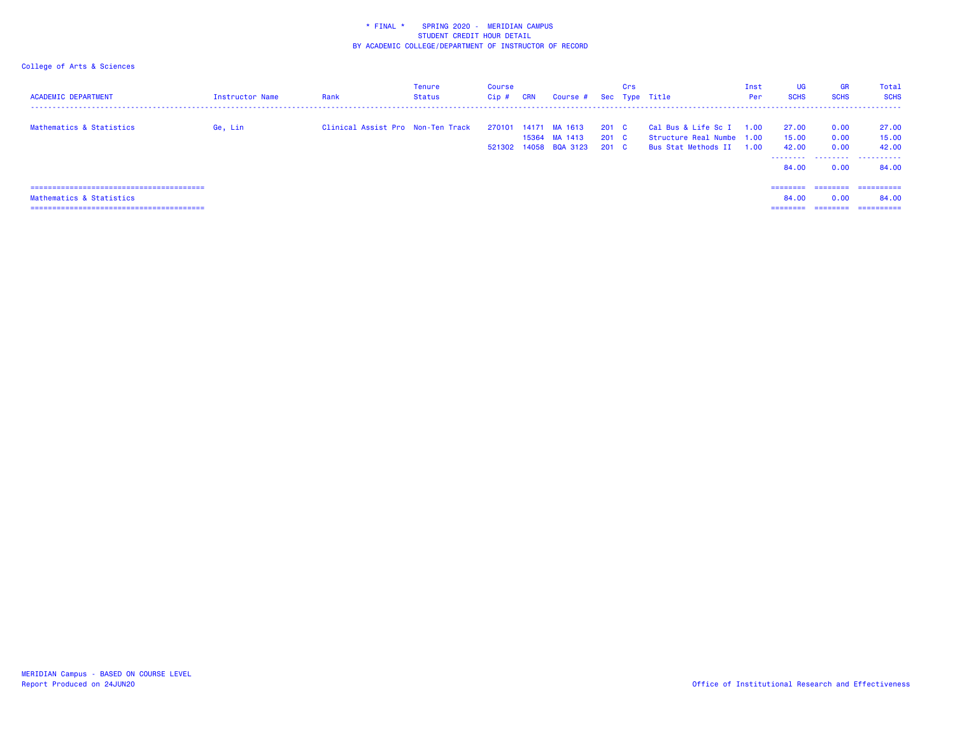| <b>ACADEMIC DEPARTMENT</b> | Instructor Name | Rank                              | <b>Tenure</b><br>Status | Course<br>Cip# | <b>CRN</b> | Course #                                                |                         | Crs | Sec Type Title                                                          | Inst<br>Per  | <b>UG</b><br><b>SCHS</b> | <b>GR</b><br><b>SCHS</b> | Total<br><b>SCHS</b>    |
|----------------------------|-----------------|-----------------------------------|-------------------------|----------------|------------|---------------------------------------------------------|-------------------------|-----|-------------------------------------------------------------------------|--------------|--------------------------|--------------------------|-------------------------|
| Mathematics & Statistics   | Ge, Lin         | Clinical Assist Pro Non-Ten Track |                         | 521302         |            | 270101 14171 MA 1613<br>15364 MA 1413<br>14058 BQA 3123 | 201 C<br>201 C<br>201 C |     | Cal Bus & Life Sc I<br>Structure Real Numbe 1.00<br>Bus Stat Methods II | 1.00<br>1.00 | 27.00<br>15.00<br>42.00  | 0.00<br>0.00<br>0.00     | 27.00<br>15.00<br>42.00 |
|                            |                 |                                   |                         |                |            |                                                         |                         |     |                                                                         |              | .<br>84.00               | 0.00                     | 84.00                   |
|                            |                 |                                   |                         |                |            |                                                         |                         |     |                                                                         |              | ---------                | ---------                | ==========              |
| Mathematics & Statistics   |                 |                                   |                         |                |            |                                                         |                         |     |                                                                         |              | 84.00                    | 0.00                     | 84.00                   |
|                            |                 |                                   |                         |                |            |                                                         |                         |     |                                                                         |              | ---------                | ---------                | ==========              |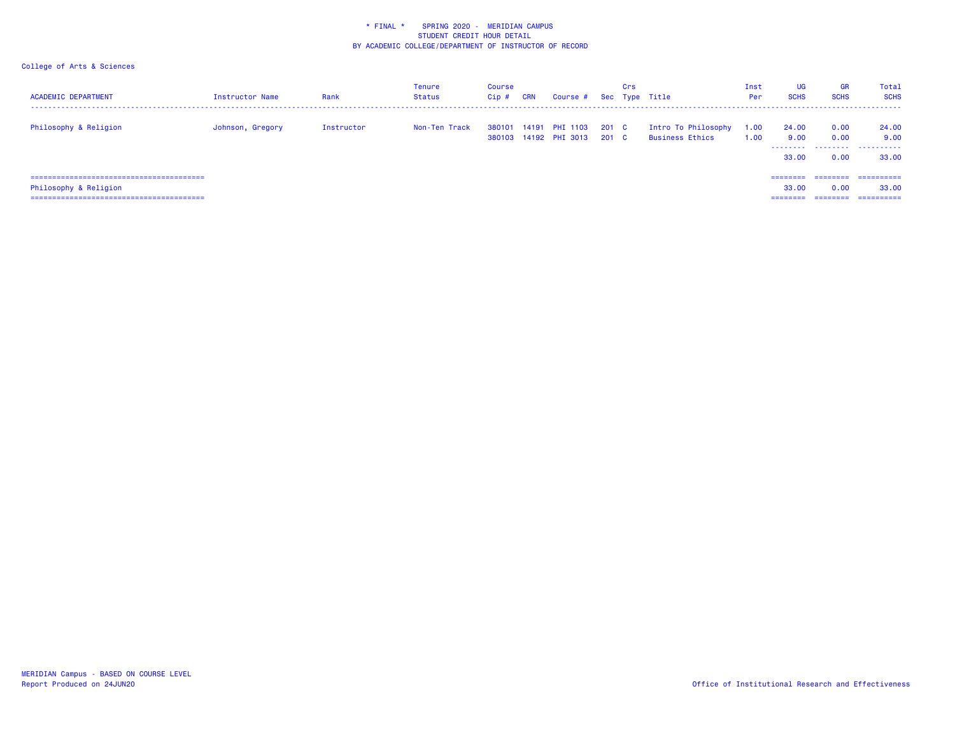| <b>ACADEMIC DEPARTMENT</b> | <b>Instructor Name</b> | Rank       | <b>Tenure</b><br>Status | Course<br>Cip# | <b>CRN</b> | Course # Sec Type Title                 |                | Crs |                                        | Inst<br>Per  | UG<br><b>SCHS</b>              | <b>GR</b><br><b>SCHS</b>      | Total<br><b>SCHS</b>              |
|----------------------------|------------------------|------------|-------------------------|----------------|------------|-----------------------------------------|----------------|-----|----------------------------------------|--------------|--------------------------------|-------------------------------|-----------------------------------|
| Philosophy & Religion      | Johnson, Gregory       | Instructor | Non-Ten Track           | 380101         |            | 14191 PHI 1103<br>380103 14192 PHI 3013 | 201 C<br>201 C |     | Intro To Philosophy<br>Business Ethics | 1.00<br>1.00 | 24,00<br>9.00<br>.<br>33.00    | 0.00<br>0.00<br>.<br>0.00     | 24.00<br>9.00<br>.<br>33.00       |
| Philosophy & Religion      |                        |            |                         |                |            |                                         |                |     |                                        |              | ---------<br>33.00<br>======== | ========<br>0.00<br>--------- | ==========<br>33,00<br>---------- |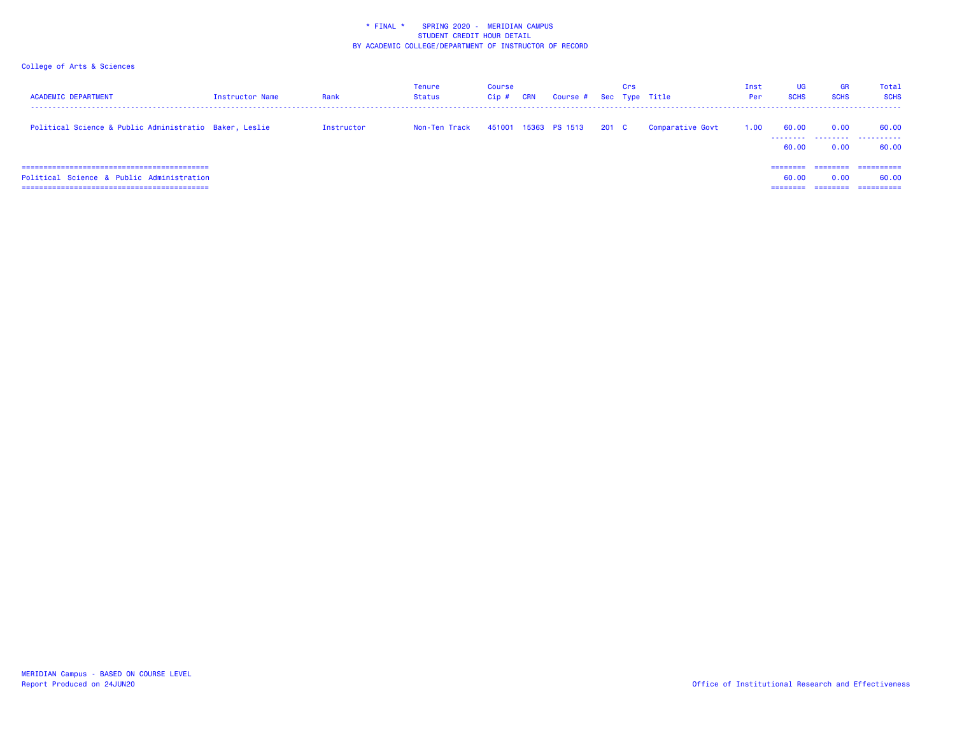| <b>ACADEMIC DEPARTMENT</b>                             | Instructor Name | Rank       | Tenure<br>Status | Course<br>$Cip$ # | CRN | Course # Sec Type Title |         | Crs |                  | Inst<br>Per | UG<br><b>SCHS</b>          | <b>GR</b><br><b>SCHS</b> | Total<br><b>SCHS</b>              |
|--------------------------------------------------------|-----------------|------------|------------------|-------------------|-----|-------------------------|---------|-----|------------------|-------------|----------------------------|--------------------------|-----------------------------------|
| Political Science & Public Administratio Baker, Leslie |                 | Instructor | Non-Ten Track    |                   |     | 451001 15363 PS 1513    | $201$ C |     | Comparative Govt | 1.00        | 60.00<br>--------<br>60.00 | 0.00<br>.<br>0.00        | 60.00<br>.<br>60.00               |
| Political Science & Public Administration              |                 |            |                  |                   |     |                         |         |     |                  |             | 60.00                      | 0.00                     | ==========<br>60.00<br>========== |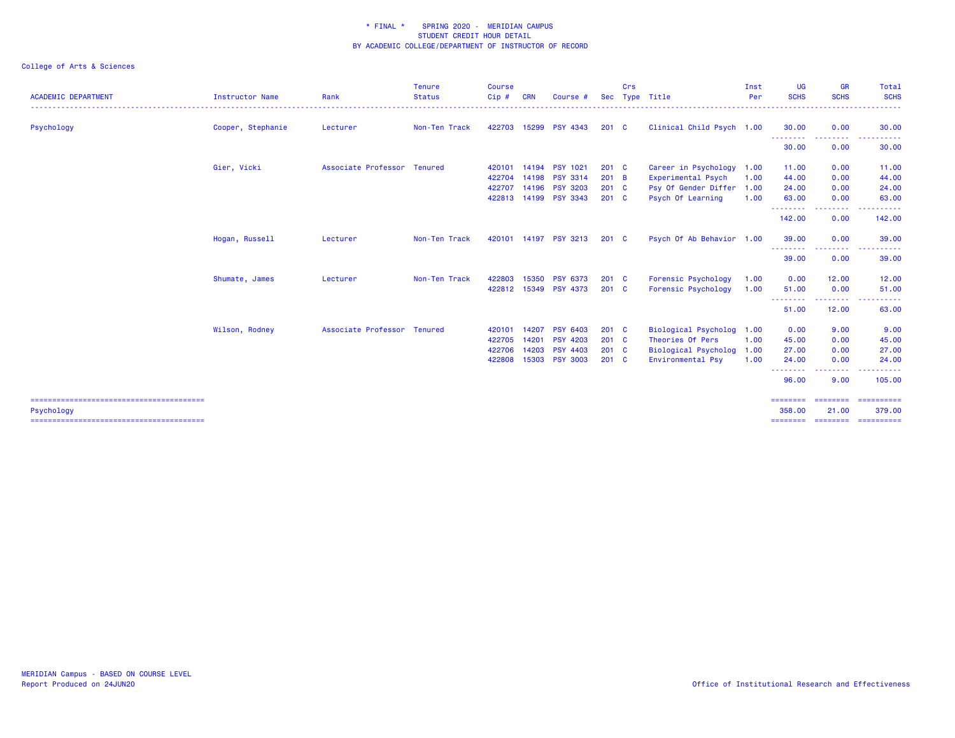| <b>ACADEMIC DEPARTMENT</b> | Instructor Name   | Rank                        | <b>Tenure</b><br><b>Status</b> | <b>Course</b><br>Cip# | <b>CRN</b> | Course #              | <b>Sec</b>    | Crs | Type Title                | Inst<br>Per | UG<br><b>SCHS</b>           | <b>GR</b><br><b>SCHS</b>                                             | <b>Total</b><br><b>SCHS</b> |
|----------------------------|-------------------|-----------------------------|--------------------------------|-----------------------|------------|-----------------------|---------------|-----|---------------------------|-------------|-----------------------------|----------------------------------------------------------------------|-----------------------------|
| Psychology                 | Cooper, Stephanie | Lecturer                    | Non-Ten Track                  | 422703                |            | 15299 PSY 4343        | $201 \quad C$ |     | Clinical Child Psych 1.00 |             | 30.00                       | 0.00                                                                 | 30.00                       |
|                            |                   |                             |                                |                       |            |                       |               |     |                           |             | - - - - - - - - -<br>30.00  | .<br>0.00                                                            | 30.00                       |
|                            | Gier, Vicki       | Associate Professor Tenured |                                | 420101                |            | 14194 PSY 1021        | $201$ C       |     | Career in Psychology      | 1.00        | 11.00                       | 0.00                                                                 | 11.00                       |
|                            |                   |                             |                                | 422704                |            | 14198 PSY 3314        | $201$ B       |     | Experimental Psych        | 1.00        | 44.00                       | 0.00                                                                 | 44.00                       |
|                            |                   |                             |                                | 422707                | 14196      | <b>PSY 3203</b>       | 201 C         |     | Psy Of Gender Differ 1.00 |             | 24.00                       | 0.00                                                                 | 24.00                       |
|                            |                   |                             |                                | 422813                |            | 14199 PSY 3343        | $201 \quad C$ |     | Psych Of Learning         | 1.00        | 63.00                       | 0.00                                                                 | 63.00                       |
|                            |                   |                             |                                |                       |            |                       |               |     |                           |             | --------<br>142.00          | <b><i><u><u> - - - -</u></u></i></b><br>$\sim$ $\sim$ $\sim$<br>0.00 | .<br>142.00                 |
|                            | Hogan, Russell    | Lecturer                    | Non-Ten Track                  |                       |            | 420101 14197 PSY 3213 | $201 \quad C$ |     | Psych Of Ab Behavior 1.00 |             | 39.00                       | 0.00                                                                 | 39.00                       |
|                            |                   |                             |                                |                       |            |                       |               |     |                           |             | .<br>39.00                  | 0.00                                                                 | 39.00                       |
|                            | Shumate, James    | Lecturer                    | Non-Ten Track                  | 422803                | 15350      | <b>PSY 6373</b>       | $201$ C       |     | Forensic Psychology       | 1.00        | 0.00                        | 12.00                                                                | 12.00                       |
|                            |                   |                             |                                |                       |            | 422812 15349 PSY 4373 | $201$ C       |     | Forensic Psychology       | 1.00        | 51.00                       | 0.00                                                                 | 51.00                       |
|                            |                   |                             |                                |                       |            |                       |               |     |                           |             | .<br>51.00                  | .<br>12.00                                                           | ------<br>63.00             |
|                            | Wilson, Rodney    | Associate Professor Tenured |                                | 420101                | 14207      | <b>PSY 6403</b>       | $201 \quad C$ |     | Biological Psycholog      | 1.00        | 0.00                        | 9.00                                                                 | 9.00                        |
|                            |                   |                             |                                | 422705                | 14201      | <b>PSY 4203</b>       | $201 \quad C$ |     | Theories Of Pers          | 1.00        | 45.00                       | 0.00                                                                 | 45.00                       |
|                            |                   |                             |                                | 422706                | 14203      | <b>PSY 4403</b>       | $201 \quad C$ |     | Biological Psycholog 1.00 |             | 27.00                       | 0.00                                                                 | 27.00                       |
|                            |                   |                             |                                | 422808                |            | 15303 PSY 3003        | $201 \quad C$ |     | Environmental Psy         | 1.00        | 24.00                       | 0.00                                                                 | 24.00                       |
|                            |                   |                             |                                |                       |            |                       |               |     |                           |             | --------<br>96.00           | .<br>9.00                                                            | .<br>105.00                 |
| Psychology                 |                   |                             |                                |                       |            |                       |               |     |                           |             | $=$ = = = = = = =<br>358,00 | ========<br>21,00                                                    | -----------<br>379.00       |
|                            |                   |                             |                                |                       |            |                       |               |     |                           |             | ========                    | ========                                                             | ==========                  |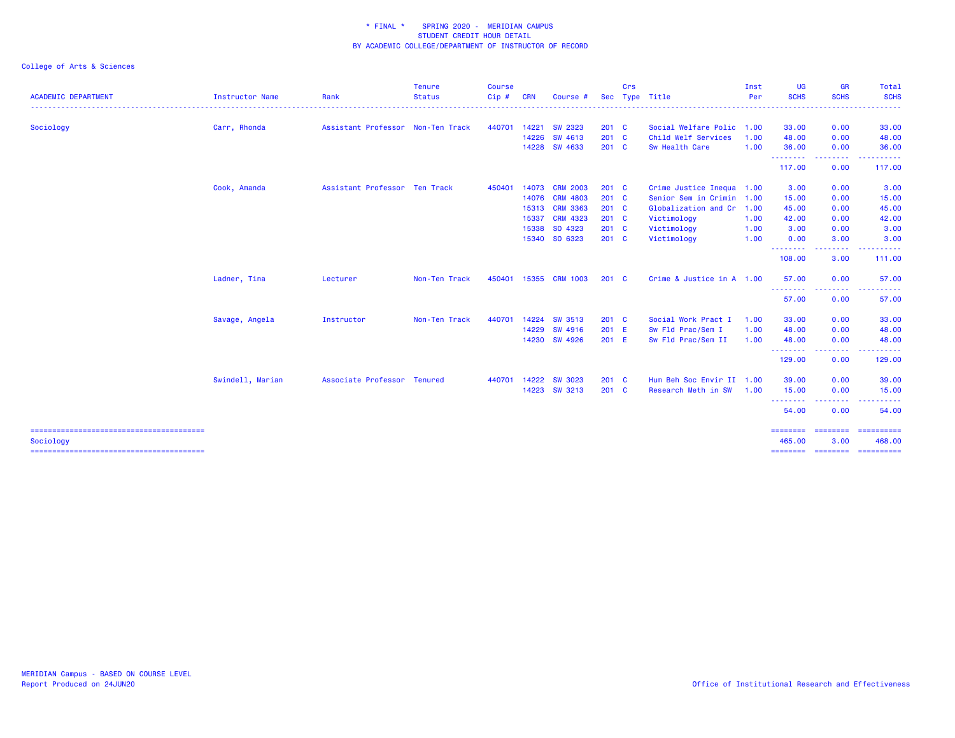| <b>Instructor Name</b> | Rank       | <b>Tenure</b><br><b>Status</b> | Course<br>Cip#                                                                                    | <b>CRN</b> | Course          |                                                                                                                                                                                                                       | Crs |                                                                                                                                                                | Inst<br>Per | <b>UG</b><br><b>SCHS</b>                                                                                                                                                   | GR<br><b>SCHS</b>                 | Total<br><b>SCHS</b>                                                                                                                       |
|------------------------|------------|--------------------------------|---------------------------------------------------------------------------------------------------|------------|-----------------|-----------------------------------------------------------------------------------------------------------------------------------------------------------------------------------------------------------------------|-----|----------------------------------------------------------------------------------------------------------------------------------------------------------------|-------------|----------------------------------------------------------------------------------------------------------------------------------------------------------------------------|-----------------------------------|--------------------------------------------------------------------------------------------------------------------------------------------|
| Carr, Rhonda           |            |                                | 440701                                                                                            |            | SW 2323         |                                                                                                                                                                                                                       |     |                                                                                                                                                                |             | 33.00                                                                                                                                                                      | 0.00                              | 33.00                                                                                                                                      |
|                        |            |                                |                                                                                                   |            | SW 4613         |                                                                                                                                                                                                                       |     | Child Welf Services                                                                                                                                            | 1.00        | 48.00                                                                                                                                                                      | 0.00                              | 48.00                                                                                                                                      |
|                        |            |                                |                                                                                                   |            |                 |                                                                                                                                                                                                                       |     | Sw Health Care                                                                                                                                                 | 1.00        | 36.00                                                                                                                                                                      | 0.00                              | 36.00                                                                                                                                      |
|                        |            |                                |                                                                                                   |            |                 |                                                                                                                                                                                                                       |     |                                                                                                                                                                |             | 117.00                                                                                                                                                                     | 0.00                              | 117.00                                                                                                                                     |
| Cook, Amanda           |            |                                | 450401                                                                                            |            | <b>CRM 2003</b> |                                                                                                                                                                                                                       |     |                                                                                                                                                                |             | 3.00                                                                                                                                                                       | 0.00                              | 3.00                                                                                                                                       |
|                        |            |                                |                                                                                                   |            | <b>CRM 4803</b> |                                                                                                                                                                                                                       |     |                                                                                                                                                                |             | 15.00                                                                                                                                                                      | 0.00                              | 15.00                                                                                                                                      |
|                        |            |                                |                                                                                                   |            |                 |                                                                                                                                                                                                                       |     |                                                                                                                                                                |             | 45.00                                                                                                                                                                      | 0.00                              | 45.00                                                                                                                                      |
|                        |            |                                |                                                                                                   |            | <b>CRM 4323</b> |                                                                                                                                                                                                                       |     | Victimology                                                                                                                                                    | 1.00        | 42.00                                                                                                                                                                      | 0.00                              | 42.00                                                                                                                                      |
|                        |            |                                |                                                                                                   |            |                 |                                                                                                                                                                                                                       |     | Victimology                                                                                                                                                    | 1.00        | 3.00                                                                                                                                                                       | 0.00                              | 3.00                                                                                                                                       |
|                        |            |                                |                                                                                                   |            |                 |                                                                                                                                                                                                                       |     | Victimology                                                                                                                                                    | 1.00        | 0.00                                                                                                                                                                       | 3.00                              | 3.00                                                                                                                                       |
|                        |            |                                |                                                                                                   |            |                 |                                                                                                                                                                                                                       |     |                                                                                                                                                                |             | 108.00                                                                                                                                                                     | 3.00                              | 111.00                                                                                                                                     |
| Ladner, Tina           | Lecturer   | Non-Ten Track                  | 450401                                                                                            |            |                 |                                                                                                                                                                                                                       |     |                                                                                                                                                                |             | 57.00                                                                                                                                                                      | 0.00                              | 57.00                                                                                                                                      |
|                        |            |                                |                                                                                                   |            |                 |                                                                                                                                                                                                                       |     |                                                                                                                                                                |             | 57.00                                                                                                                                                                      | 0.00                              | 57.00                                                                                                                                      |
| Savage, Angela         | Instructor | Non-Ten Track                  | 440701                                                                                            |            |                 |                                                                                                                                                                                                                       |     | Social Work Pract I                                                                                                                                            | 1.00        | 33.00                                                                                                                                                                      | 0.00                              | 33.00                                                                                                                                      |
|                        |            |                                |                                                                                                   |            |                 |                                                                                                                                                                                                                       |     | Sw Fld Prac/Sem I                                                                                                                                              | 1.00        | 48.00                                                                                                                                                                      | 0.00                              | 48.00                                                                                                                                      |
|                        |            |                                |                                                                                                   |            |                 |                                                                                                                                                                                                                       |     | Sw Fld Prac/Sem II                                                                                                                                             | 1.00        | 48.00                                                                                                                                                                      | 0.00                              | 48.00                                                                                                                                      |
|                        |            |                                |                                                                                                   |            |                 |                                                                                                                                                                                                                       |     |                                                                                                                                                                |             | 129.00                                                                                                                                                                     | 0.00                              | 129.00                                                                                                                                     |
| Swindell, Marian       |            |                                | 440701                                                                                            |            |                 |                                                                                                                                                                                                                       |     |                                                                                                                                                                |             | 39.00                                                                                                                                                                      | 0.00                              | 39.00                                                                                                                                      |
|                        |            |                                |                                                                                                   |            |                 |                                                                                                                                                                                                                       |     | Research Meth in SW                                                                                                                                            | 1.00        | 15.00                                                                                                                                                                      | 0.00                              | 15.00                                                                                                                                      |
|                        |            |                                |                                                                                                   |            |                 |                                                                                                                                                                                                                       |     |                                                                                                                                                                |             | 54.00                                                                                                                                                                      | 0.00                              | 54.00                                                                                                                                      |
|                        |            |                                |                                                                                                   |            |                 |                                                                                                                                                                                                                       |     |                                                                                                                                                                |             | ========<br>465.00                                                                                                                                                         | 3.00                              | -==========<br>468,00                                                                                                                      |
|                        |            |                                | Assistant Professor Non-Ten Track<br>Assistant Professor Ten Track<br>Associate Professor Tenured |            |                 | 14221<br>14226<br>14228 SW 4633<br>14073<br>14076<br>15313 CRM 3363<br>15337<br>15338 SO 4323<br>15340 SO 6323<br>15355 CRM 1003<br>14224 SW 3513<br>14229 SW 4916<br>14230 SW 4926<br>14222 SW 3023<br>14223 SW 3213 |     | Sec<br>201 C<br>201 C<br>201 C<br>$201 \quad C$<br>$201$ C<br>201 C<br>$201$ C<br>201 C<br>201 C<br>$201 \quad C$<br>201 C<br>201 E<br>201 E<br>201 C<br>201 C | Type Title  | Social Welfare Polic 1.00<br>Crime Justice Inequa 1.00<br>Senior Sem in Crimin 1.00<br>Globalization and Cr 1.00<br>Crime & Justice in A 1.00<br>Hum Beh Soc Envir II 1.00 | .<br>.<br>.<br>.<br>.<br>======== | .<br>$\frac{1}{2} \left( \frac{1}{2} \right) \left( \frac{1}{2} \right) \left( \frac{1}{2} \right) \left( \frac{1}{2} \right)$<br>======== |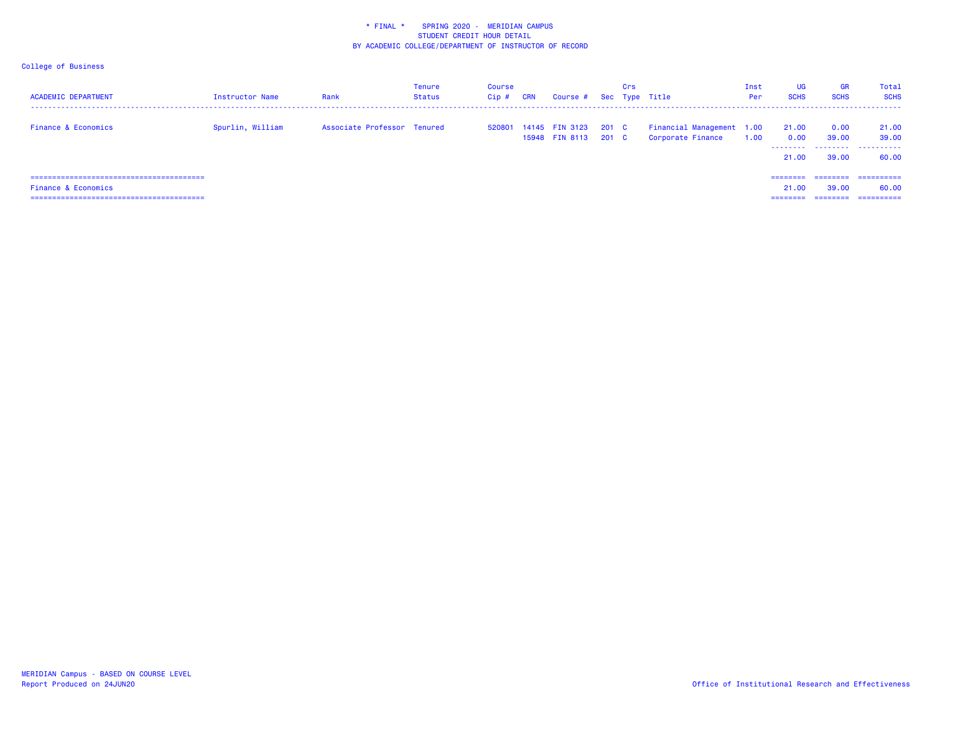| <b>ACADEMIC DEPARTMENT</b>     | <b>Instructor Name</b> | Rank                        | <b>Tenure</b><br>Status | Course<br>Cip# | <b>CRN</b> | Course # Sec Type Title                 |                | Crs |                                                | Inst<br>Per | <b>UG</b><br><b>SCHS</b>      | <b>GR</b><br><b>SCHS</b>       | Total<br><b>SCHS</b>               |
|--------------------------------|------------------------|-----------------------------|-------------------------|----------------|------------|-----------------------------------------|----------------|-----|------------------------------------------------|-------------|-------------------------------|--------------------------------|------------------------------------|
| <b>Finance &amp; Economics</b> | Spurlin, William       | Associate Professor Tenured |                         |                |            | 520801 14145 FIN 3123<br>15948 FIN 8113 | 201 C<br>201 C |     | Financial Management 1.00<br>Corporate Finance | 1.00        | 21.00<br>0.00<br>.<br>21,00   | 0.00<br>39.00<br>39,00         | 21.00<br>39.00<br>60.00            |
| Finance & Economics            |                        |                             |                         |                |            |                                         |                |     |                                                |             | ========<br>21.00<br>======== | ========<br>39.00<br>--------- | ==========<br>60.00<br>----------- |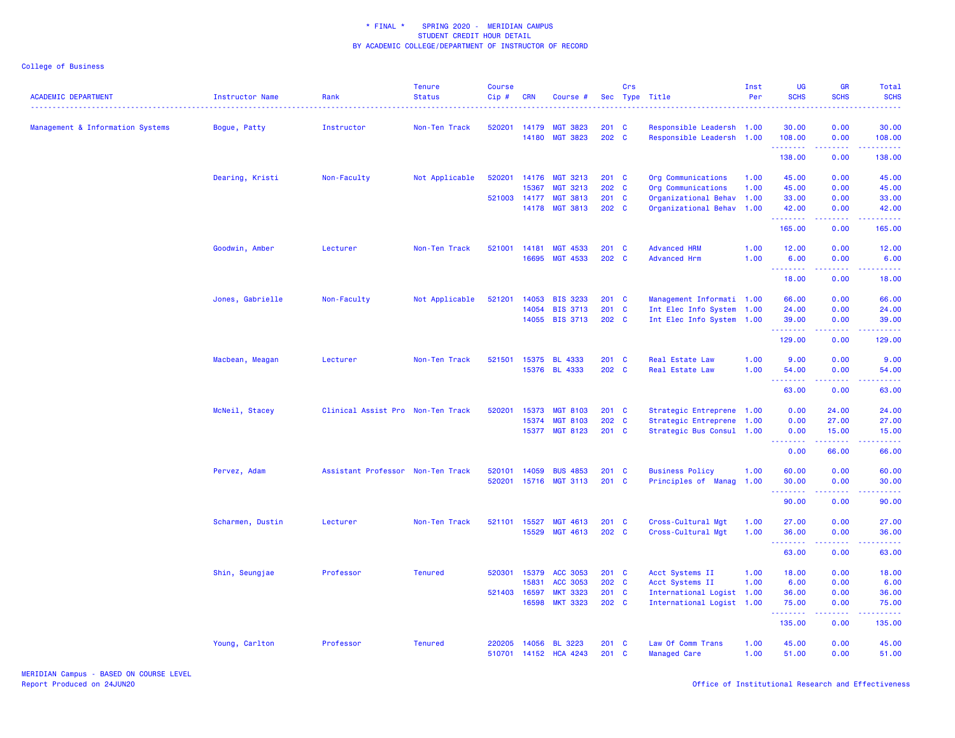| <b>ACADEMIC DEPARTMENT</b>       | Instructor Name  | Rank                              | <b>Tenure</b><br><b>Status</b> | <b>Course</b><br>Cip# | <b>CRN</b> | Course #        |               | Crs | Sec Type Title            | Inst<br>Per | <b>UG</b><br><b>SCHS</b>                                                                                                                                      | <b>GR</b><br><b>SCHS</b> | Total<br><b>SCHS</b> |
|----------------------------------|------------------|-----------------------------------|--------------------------------|-----------------------|------------|-----------------|---------------|-----|---------------------------|-------------|---------------------------------------------------------------------------------------------------------------------------------------------------------------|--------------------------|----------------------|
| Management & Information Systems | Bogue, Patty     | Instructor                        | Non-Ten Track                  | 520201                | 14179      | <b>MGT 3823</b> | $201 \quad C$ |     | Responsible Leadersh 1.00 |             | 30.00                                                                                                                                                         | 0.00                     | 30.00                |
|                                  |                  |                                   |                                |                       | 14180      | <b>MGT 3823</b> | 202 C         |     | Responsible Leadersh 1.00 |             | 108.00<br>.                                                                                                                                                   | 0.00<br>.                | 108.00               |
|                                  |                  |                                   |                                |                       |            |                 |               |     |                           |             | 138.00                                                                                                                                                        | 0.00                     | 138.00               |
|                                  | Dearing, Kristi  | Non-Faculty                       | Not Applicable                 | 520201                |            | 14176 MGT 3213  | $201$ C       |     | Org Communications        | 1.00        | 45.00                                                                                                                                                         | 0.00                     | 45.00                |
|                                  |                  |                                   |                                |                       | 15367      | <b>MGT 3213</b> | 202 C         |     | Org Communications        | 1.00        | 45.00                                                                                                                                                         | 0.00                     | 45.00                |
|                                  |                  |                                   |                                | 521003                | 14177      | <b>MGT 3813</b> | 201 C         |     | Organizational Behav      | 1.00        | 33.00                                                                                                                                                         | 0.00                     | 33.00                |
|                                  |                  |                                   |                                |                       |            | 14178 MGT 3813  | 202 C         |     | Organizational Behav      | 1.00        | 42.00                                                                                                                                                         | 0.00                     | 42.00                |
|                                  |                  |                                   |                                |                       |            |                 |               |     |                           |             | 165.00                                                                                                                                                        | 0.00                     | 165.00               |
|                                  | Goodwin, Amber   | Lecturer                          | Non-Ten Track                  | 521001                | 14181      | <b>MGT 4533</b> | $201 \quad C$ |     | <b>Advanced HRM</b>       | 1.00        | 12.00                                                                                                                                                         | 0.00                     | 12.00                |
|                                  |                  |                                   |                                |                       | 16695      | MGT 4533        | 202 C         |     | <b>Advanced Hrm</b>       | 1.00        | 6.00<br>.                                                                                                                                                     | 0.00                     | 6.00                 |
|                                  |                  |                                   |                                |                       |            |                 |               |     |                           |             | 18.00                                                                                                                                                         | 0.00                     | 18.00                |
|                                  | Jones, Gabrielle | Non-Faculty                       | Not Applicable                 | 521201                | 14053      | <b>BIS 3233</b> | $201$ C       |     | Management Informati 1.00 |             | 66.00                                                                                                                                                         | 0.00                     | 66.00                |
|                                  |                  |                                   |                                |                       |            | 14054 BIS 3713  | $201$ C       |     | Int Elec Info System 1.00 |             | 24.00                                                                                                                                                         | 0.00                     | 24.00                |
|                                  |                  |                                   |                                |                       |            | 14055 BIS 3713  | 202 C         |     | Int Elec Info System 1.00 |             | 39.00<br><u>.</u>                                                                                                                                             | 0.00<br>.                | 39.00                |
|                                  |                  |                                   |                                |                       |            |                 |               |     |                           |             | 129.00                                                                                                                                                        | 0.00                     | 129.00               |
|                                  | Macbean, Meagan  | Lecturer                          | Non-Ten Track                  | 521501                |            | 15375 BL 4333   | $201$ C       |     | <b>Real Estate Law</b>    | 1.00        | 9.00                                                                                                                                                          | 0.00                     | 9.00                 |
|                                  |                  |                                   |                                |                       |            | 15376 BL 4333   | 202 C         |     | Real Estate Law           | 1.00        | 54.00<br>$\frac{1}{2} \left( \frac{1}{2} \right) \left( \frac{1}{2} \right) \left( \frac{1}{2} \right) \left( \frac{1}{2} \right) \left( \frac{1}{2} \right)$ | 0.00                     | 54.00                |
|                                  |                  |                                   |                                |                       |            |                 |               |     |                           |             | 63.00                                                                                                                                                         | 0.00                     | 63.00                |
|                                  | McNeil, Stacey   | Clinical Assist Pro Non-Ten Track |                                | 520201                | 15373      | <b>MGT 8103</b> | $201$ C       |     | Strategic Entreprene 1.00 |             | 0.00                                                                                                                                                          | 24.00                    | 24.00                |
|                                  |                  |                                   |                                |                       | 15374      | <b>MGT 8103</b> | 202 C         |     | Strategic Entreprene      | 1.00        | 0.00                                                                                                                                                          | 27.00                    | 27.00                |
|                                  |                  |                                   |                                |                       |            | 15377 MGT 8123  | $201$ C       |     | Strategic Bus Consul 1.00 |             | 0.00<br>.                                                                                                                                                     | 15.00<br>$- - - - -$     | 15.00                |
|                                  |                  |                                   |                                |                       |            |                 |               |     |                           |             | 0.00                                                                                                                                                          | 66.00                    | 66.00                |
|                                  | Pervez, Adam     | Assistant Professor Non-Ten Track |                                | 520101                | 14059      | <b>BUS 4853</b> | 201 C         |     | <b>Business Policy</b>    | 1.00        | 60.00                                                                                                                                                         | 0.00                     | 60.00                |
|                                  |                  |                                   |                                | 520201                |            | 15716 MGT 3113  | $201$ C       |     | Principles of Manag       | 1.00        | 30.00<br>.                                                                                                                                                    | 0.00<br>.                | 30.00<br>.           |
|                                  |                  |                                   |                                |                       |            |                 |               |     |                           |             | 90.00                                                                                                                                                         | 0.00                     | 90.00                |
|                                  | Scharmen, Dustin | Lecturer                          | Non-Ten Track                  | 521101                | 15527      | <b>MGT 4613</b> | $201 \quad C$ |     | Cross-Cultural Mgt        | 1.00        | 27.00                                                                                                                                                         | 0.00                     | 27.00                |
|                                  |                  |                                   |                                |                       | 15529      | <b>MGT 4613</b> | 202 C         |     | Cross-Cultural Mgt        | 1.00        | 36.00<br>.                                                                                                                                                    | 0.00                     | 36.00                |
|                                  |                  |                                   |                                |                       |            |                 |               |     |                           |             | 63.00                                                                                                                                                         | 0.00                     | 63.00                |
|                                  | Shin, Seungjae   | Professor                         | <b>Tenured</b>                 | 520301                |            | 15379 ACC 3053  | $201$ C       |     | Acct Systems II           | 1.00        | 18.00                                                                                                                                                         | 0.00                     | 18.00                |
|                                  |                  |                                   |                                |                       | 15831      | ACC 3053        | 202 C         |     | Acct Systems II           | 1.00        | 6.00                                                                                                                                                          | 0.00                     | 6.00                 |
|                                  |                  |                                   |                                | 521403                | 16597      | <b>MKT 3323</b> | 201 C         |     | International Logist 1.00 |             | 36.00                                                                                                                                                         | 0.00                     | 36.00                |
|                                  |                  |                                   |                                |                       |            | 16598 MKT 3323  | 202 C         |     | International Logist 1.00 |             | 75.00<br>.                                                                                                                                                    | 0.00<br>.                | 75.00                |
|                                  |                  |                                   |                                |                       |            |                 |               |     |                           |             | 135.00                                                                                                                                                        | 0.00                     | 135.00               |
|                                  | Young, Carlton   | Professor                         | <b>Tenured</b>                 | 220205                |            | 14056 BL 3223   | 201 C         |     | Law Of Comm Trans         | 1.00        | 45.00                                                                                                                                                         | 0.00                     | 45.00                |
|                                  |                  |                                   |                                | 510701                |            | 14152 HCA 4243  | $201$ C       |     | <b>Managed Care</b>       | 1.00        | 51.00                                                                                                                                                         | 0.00                     | 51.00                |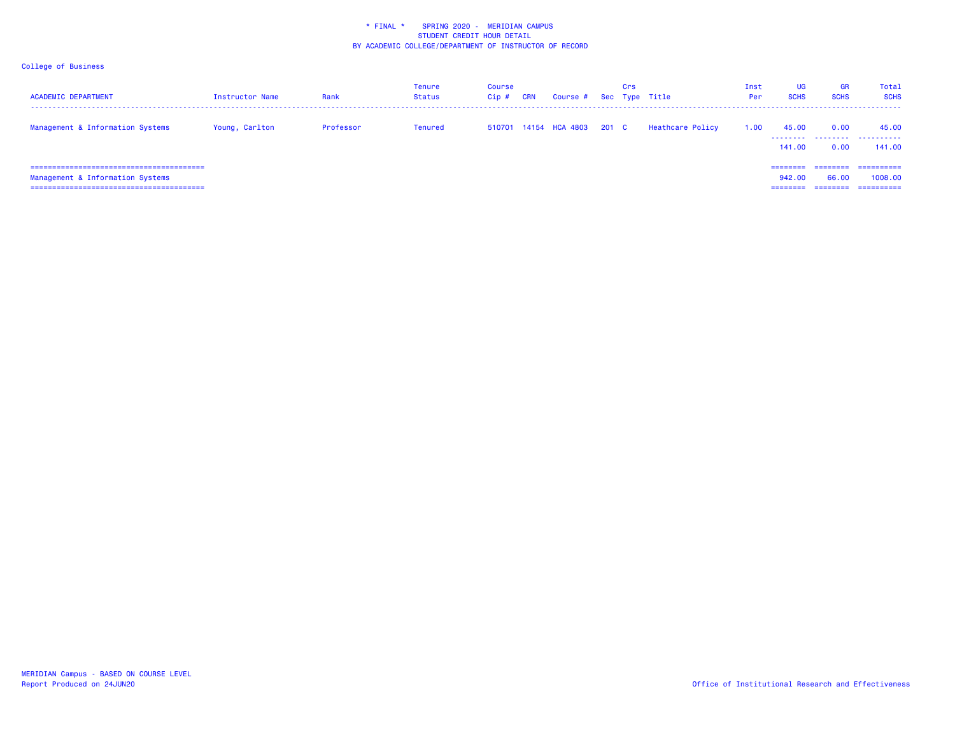| <b>ACADEMIC DEPARTMENT</b>                                         | Instructor Name | Rank      | Tenure<br>Status | Course<br>Cip# | <b>CRN</b> | Course # Sec Type Title     | Crs |                  | Inst<br>Per | UG<br><b>SCHS</b>  | <b>GR</b><br><b>SCHS</b> | Total<br><b>SCHS</b><br>-------     |
|--------------------------------------------------------------------|-----------------|-----------|------------------|----------------|------------|-----------------------------|-----|------------------|-------------|--------------------|--------------------------|-------------------------------------|
| Management & Information Systems                                   | Young, Carlton  | Professor | Tenured          |                |            | 510701 14154 HCA 4803 201 C |     | Heathcare Policy | 1.00        | 45.00<br>141.00    | 0.00<br>0.00             | 45.00<br>141.00                     |
| Management & Information Systems<br>------------------------------ |                 |           |                  |                |            |                             |     |                  |             | ========<br>942.00 | ---------<br>66.00       | ==========<br>1008.00<br>========== |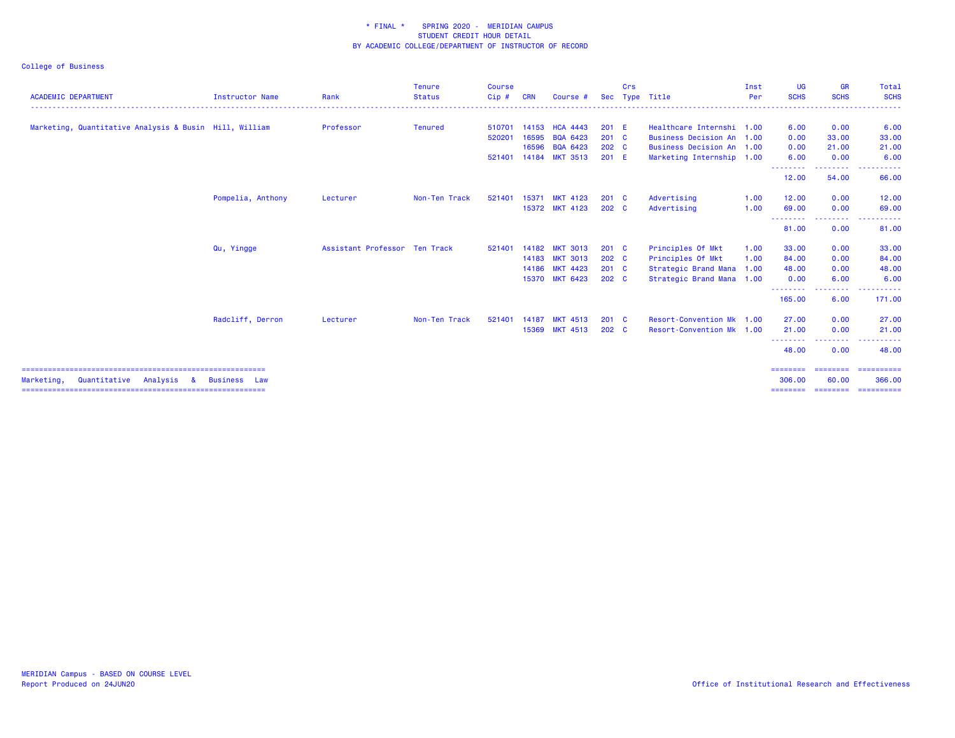| <b>ACADEMIC DEPARTMENT</b>                             | Instructor Name     | Rank                          | <b>Tenure</b><br><b>Status</b> | <b>Course</b><br>Cip# | <b>CRN</b> | Course #        |                  | Crs | Sec Type Title            | Inst<br>Per | <b>UG</b><br><b>SCHS</b> | <b>GR</b><br><b>SCHS</b>                                                                                                                                                                                                                                                                                                                                                                                                                                                                       | <b>Total</b><br><b>SCHS</b>                                                                             |
|--------------------------------------------------------|---------------------|-------------------------------|--------------------------------|-----------------------|------------|-----------------|------------------|-----|---------------------------|-------------|--------------------------|------------------------------------------------------------------------------------------------------------------------------------------------------------------------------------------------------------------------------------------------------------------------------------------------------------------------------------------------------------------------------------------------------------------------------------------------------------------------------------------------|---------------------------------------------------------------------------------------------------------|
| Marketing, Quantitative Analysis & Busin Hill, William |                     | Professor                     | <b>Tenured</b>                 | 510701                | 14153      | <b>HCA 4443</b> | 201 E            |     | Healthcare Internshi 1.00 |             | 6.00                     | 0.00                                                                                                                                                                                                                                                                                                                                                                                                                                                                                           | 6.00                                                                                                    |
|                                                        |                     |                               |                                | 520201                | 16595      | <b>BQA 6423</b> | $201 \quad C$    |     | Business Decision An 1.00 |             | 0.00                     | 33,00                                                                                                                                                                                                                                                                                                                                                                                                                                                                                          | 33.00                                                                                                   |
|                                                        |                     |                               |                                |                       | 16596      | BQA 6423        | 202 <sub>c</sub> |     | Business Decision An 1.00 |             | 0.00                     | 21.00                                                                                                                                                                                                                                                                                                                                                                                                                                                                                          | 21.00                                                                                                   |
|                                                        |                     |                               |                                | 521401                |            | 14184 MKT 3513  | 201 E            |     | Marketing Internship 1.00 |             | 6.00                     | 0.00                                                                                                                                                                                                                                                                                                                                                                                                                                                                                           | 6.00                                                                                                    |
|                                                        |                     |                               |                                |                       |            |                 |                  |     |                           |             | .<br>12.00               | .<br>54.00                                                                                                                                                                                                                                                                                                                                                                                                                                                                                     | 66.00                                                                                                   |
|                                                        | Pompelia, Anthony   | Lecturer                      | Non-Ten Track                  | 521401                | 15371      | <b>MKT 4123</b> | $201 \quad C$    |     | Advertising               | 1.00        | 12.00                    | 0.00                                                                                                                                                                                                                                                                                                                                                                                                                                                                                           | 12.00                                                                                                   |
|                                                        |                     |                               |                                |                       |            | 15372 MKT 4123  | 202 <sub>c</sub> |     | Advertising               | 1.00        | 69.00                    | 0.00                                                                                                                                                                                                                                                                                                                                                                                                                                                                                           | 69.00                                                                                                   |
|                                                        |                     |                               |                                |                       |            |                 |                  |     |                           |             | .<br>81.00               | --------<br>0.00                                                                                                                                                                                                                                                                                                                                                                                                                                                                               | 81.00                                                                                                   |
|                                                        | Qu, Yingge          | Assistant Professor Ten Track |                                | 521401                | 14182      | <b>MKT 3013</b> | $201 \quad C$    |     | Principles Of Mkt         | 1.00        | 33.00                    | 0.00                                                                                                                                                                                                                                                                                                                                                                                                                                                                                           | 33.00                                                                                                   |
|                                                        |                     |                               |                                |                       |            | 14183 MKT 3013  | 202 C            |     | Principles Of Mkt         | 1.00        | 84.00                    | 0.00                                                                                                                                                                                                                                                                                                                                                                                                                                                                                           | 84.00                                                                                                   |
|                                                        |                     |                               |                                |                       |            | 14186 MKT 4423  | $201 \quad C$    |     | Strategic Brand Mana 1.00 |             | 48.00                    | 0.00                                                                                                                                                                                                                                                                                                                                                                                                                                                                                           | 48.00                                                                                                   |
|                                                        |                     |                               |                                |                       |            | 15370 MKT 6423  | 202 <sub>c</sub> |     | Strategic Brand Mana 1.00 |             | 0.00<br>.                | 6.00<br>.                                                                                                                                                                                                                                                                                                                                                                                                                                                                                      | 6.00                                                                                                    |
|                                                        |                     |                               |                                |                       |            |                 |                  |     |                           |             | 165.00                   | 6.00                                                                                                                                                                                                                                                                                                                                                                                                                                                                                           | 171.00                                                                                                  |
|                                                        | Radcliff, Derron    | Lecturer                      | Non-Ten Track                  | 521401                | 14187      | <b>MKT 4513</b> | $201$ C          |     | Resort-Convention Mk 1.00 |             | 27.00                    | 0.00                                                                                                                                                                                                                                                                                                                                                                                                                                                                                           | 27.00                                                                                                   |
|                                                        |                     |                               |                                |                       | 15369      | <b>MKT 4513</b> | 202 <sub>c</sub> |     | Resort-Convention Mk 1.00 |             | 21.00                    | 0.00                                                                                                                                                                                                                                                                                                                                                                                                                                                                                           | 21.00                                                                                                   |
|                                                        |                     |                               |                                |                       |            |                 |                  |     |                           |             | ---------<br>48.00       | $\begin{array}{cccccccccccccc} \multicolumn{2}{c}{} & \multicolumn{2}{c}{} & \multicolumn{2}{c}{} & \multicolumn{2}{c}{} & \multicolumn{2}{c}{} & \multicolumn{2}{c}{} & \multicolumn{2}{c}{} & \multicolumn{2}{c}{} & \multicolumn{2}{c}{} & \multicolumn{2}{c}{} & \multicolumn{2}{c}{} & \multicolumn{2}{c}{} & \multicolumn{2}{c}{} & \multicolumn{2}{c}{} & \multicolumn{2}{c}{} & \multicolumn{2}{c}{} & \multicolumn{2}{c}{} & \multicolumn{2}{c}{} & \multicolumn{2}{c}{} & \$<br>0.00 | 48.00                                                                                                   |
| Marketing.<br>Quantitative<br>Analysis<br>-8           | <b>Business</b> Law |                               |                                |                       |            |                 |                  |     |                           |             | ========<br>306,00       | ========<br>60.00                                                                                                                                                                                                                                                                                                                                                                                                                                                                              | $\begin{array}{c} \texttt{m} = \texttt{m} = \texttt{m} = \texttt{m} = \texttt{m} \end{array}$<br>366,00 |
|                                                        |                     |                               |                                |                       |            |                 |                  |     |                           |             |                          |                                                                                                                                                                                                                                                                                                                                                                                                                                                                                                | ======== ======== =========                                                                             |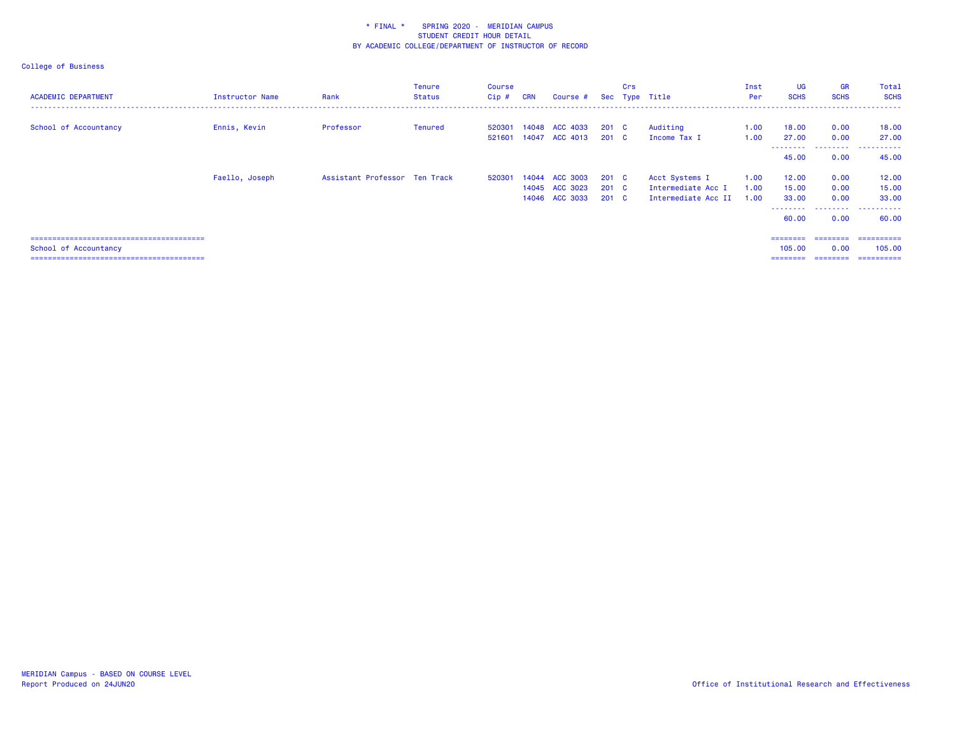| <b>ACADEMIC DEPARTMENT</b> | Instructor Name | Rank                          | <b>Tenure</b><br>Status | Course<br>Cip# | <b>CRN</b> | Course #       |               | Crs | Sec Type Title      | Inst<br>Per | UG<br><b>SCHS</b>  | <b>GR</b><br><b>SCHS</b> | Total<br><b>SCHS</b> |
|----------------------------|-----------------|-------------------------------|-------------------------|----------------|------------|----------------|---------------|-----|---------------------|-------------|--------------------|--------------------------|----------------------|
|                            |                 |                               |                         |                |            |                |               |     |                     |             |                    |                          |                      |
| School of Accountancy      | Ennis, Kevin    | Professor                     | <b>Tenured</b>          | 520301         |            | 14048 ACC 4033 | $201 \quad C$ |     | Auditing            | 1.00        | 18.00              | 0.00                     | 18.00                |
|                            |                 |                               |                         | 521601         |            | 14047 ACC 4013 | 201 C         |     | Income Tax I        | 1.00        | 27.00              | 0.00                     | 27,00                |
|                            |                 |                               |                         |                |            |                |               |     |                     |             | ---------<br>45.00 | 0.00                     | 45.00                |
|                            | Faello, Joseph  | Assistant Professor Ten Track |                         | 520301         |            | 14044 ACC 3003 | $201 \quad C$ |     | Acct Systems I      | 1.00        | 12.00              | 0.00                     | 12.00                |
|                            |                 |                               |                         |                |            | 14045 ACC 3023 | $201 \quad C$ |     | Intermediate Acc I  | 1.00        | 15.00              | 0.00                     | 15.00                |
|                            |                 |                               |                         |                |            | 14046 ACC 3033 | $201 \quad C$ |     | Intermediate Acc II | 1.00        | 33.00              | 0.00                     | 33.00                |
|                            |                 |                               |                         |                |            |                |               |     |                     |             | ---------<br>60.00 | .<br>0.00                | .<br>60.00           |
|                            |                 |                               |                         |                |            |                |               |     |                     |             | ========           | ---------                | ==========           |
| School of Accountancy      |                 |                               |                         |                |            |                |               |     |                     |             | 105,00             | 0.00                     | 105,00               |
|                            |                 |                               |                         |                |            |                |               |     |                     |             | ========           |                          |                      |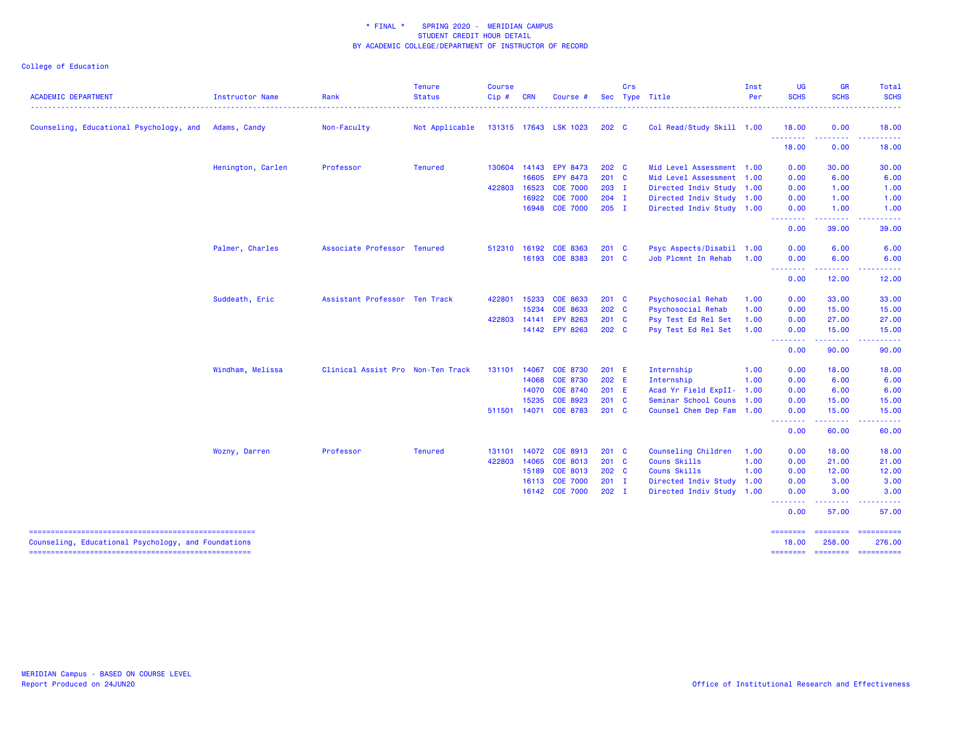College of Education

| <b>ACADEMIC DEPARTMENT</b>                           | Instructor Name   | Rank                              | <b>Tenure</b><br><b>Status</b> | <b>Course</b><br>Cip# | <b>CRN</b> | Course #              |                  | Crs | Sec Type Title            | Inst<br>Per | <b>UG</b><br><b>SCHS</b>                           | <b>GR</b><br><b>SCHS</b> | Total<br><b>SCHS</b>                  |
|------------------------------------------------------|-------------------|-----------------------------------|--------------------------------|-----------------------|------------|-----------------------|------------------|-----|---------------------------|-------------|----------------------------------------------------|--------------------------|---------------------------------------|
| Counseling, Educational Psychology, and Adams, Candy |                   | Non-Faculty                       | Not Applicable                 |                       |            | 131315 17643 LSK 1023 | 202 <sub>c</sub> |     | Col Read/Study Skill 1.00 |             | 18.00                                              | 0.00                     | 18.00                                 |
|                                                      |                   |                                   |                                |                       |            |                       |                  |     |                           |             | .<br>18.00                                         | 0.00                     | 18.00                                 |
|                                                      | Henington, Carlen | Professor                         | <b>Tenured</b>                 | 130604                |            | 14143 EPY 8473        | 202 C            |     | Mid Level Assessment 1.00 |             | 0.00                                               | 30.00                    | 30.00                                 |
|                                                      |                   |                                   |                                |                       |            | 16605 EPY 8473        | 201 C            |     | Mid Level Assessment 1.00 |             | 0.00                                               | 6.00                     | 6.00                                  |
|                                                      |                   |                                   |                                | 422803                | 16523      | <b>COE 7000</b>       | $203$ I          |     | Directed Indiv Study 1.00 |             | 0.00                                               | 1.00                     | 1.00                                  |
|                                                      |                   |                                   |                                |                       | 16922      | <b>COE 7000</b>       | $204$ I          |     | Directed Indiv Study 1.00 |             | 0.00                                               | 1.00                     | 1.00                                  |
|                                                      |                   |                                   |                                |                       |            | 16948 COE 7000        | $205$ I          |     | Directed Indiv Study 1.00 |             | 0.00<br><u>.</u>                                   | 1.00<br>.                | 1.00<br><b><i><u><u>.</u></u></i></b> |
|                                                      |                   |                                   |                                |                       |            |                       |                  |     |                           |             | 0.00                                               | 39.00                    | 39.00                                 |
|                                                      | Palmer, Charles   | Associate Professor Tenured       |                                | 512310                | 16192      | COE 8363              | 201 C            |     | Psyc Aspects/Disabil 1.00 |             | 0.00                                               | 6.00                     | 6.00                                  |
|                                                      |                   |                                   |                                |                       |            | 16193 COE 8383        | $201$ C          |     | Job Plcmnt In Rehab       | 1.00        | 0.00                                               | 6.00                     | 6.00                                  |
|                                                      |                   |                                   |                                |                       |            |                       |                  |     |                           |             | <b><i><u><u> - - - - - - -</u></u></i></b><br>0.00 | .<br>12.00               | 12.00                                 |
|                                                      | Suddeath, Eric    | Assistant Professor Ten Track     |                                | 422801                | 15233      | COE 8633              | $201$ C          |     | <b>Psychosocial Rehab</b> | 1.00        | 0.00                                               | 33.00                    | 33.00                                 |
|                                                      |                   |                                   |                                |                       | 15234      | <b>COE 8633</b>       | 202 C            |     | Psychosocial Rehab        | 1.00        | 0.00                                               | 15.00                    | 15.00                                 |
|                                                      |                   |                                   |                                | 422803                | 14141      | <b>EPY 8263</b>       | 201 C            |     | Psy Test Ed Rel Set       | 1.00        | 0.00                                               | 27.00                    | 27.00                                 |
|                                                      |                   |                                   |                                |                       |            | 14142 EPY 8263        | 202 <sub>c</sub> |     | Psy Test Ed Rel Set       | 1.00        | 0.00<br>- - - - - - - -                            | 15.00<br>.               | 15.00                                 |
|                                                      |                   |                                   |                                |                       |            |                       |                  |     |                           |             | 0.00                                               | 90.00                    | 90.00                                 |
|                                                      | Windham, Melissa  | Clinical Assist Pro Non-Ten Track |                                | 131101                | 14067      | <b>COE 8730</b>       | 201 E            |     | Internship                | 1.00        | 0.00                                               | 18.00                    | 18.00                                 |
|                                                      |                   |                                   |                                |                       | 14068      | <b>COE 8730</b>       | 202 E            |     | Internship                | 1.00        | 0.00                                               | 6.00                     | 6.00                                  |
|                                                      |                   |                                   |                                |                       |            | 14070 COE 8740        | 201 E            |     | Acad Yr Field ExpII- 1.00 |             | 0.00                                               | 6.00                     | 6.00                                  |
|                                                      |                   |                                   |                                |                       | 15235      | COE 8923              | 201 C            |     | Seminar School Couns      | 1.00        | 0.00                                               | 15.00                    | 15.00                                 |
|                                                      |                   |                                   |                                | 511501                |            | 14071 COE 8783        | $201$ C          |     | Counsel Chem Dep Fam 1.00 |             | 0.00<br><u>.</u>                                   | 15.00<br>.               | 15.00<br>.                            |
|                                                      |                   |                                   |                                |                       |            |                       |                  |     |                           |             | 0.00                                               | 60.00                    | 60.00                                 |
|                                                      | Wozny, Darren     | Professor                         | <b>Tenured</b>                 | 131101                |            | 14072 COE 8913        | 201 C            |     | Counseling Children       | 1.00        | 0.00                                               | 18.00                    | 18.00                                 |
|                                                      |                   |                                   |                                | 422803                | 14065      | COE 8013              | 201 C            |     | Couns Skills              | 1.00        | 0.00                                               | 21.00                    | 21.00                                 |
|                                                      |                   |                                   |                                |                       | 15189      | COE 8013              | 202 <sub>c</sub> |     | Couns Skills              | 1.00        | 0.00                                               | 12.00                    | 12.00                                 |
|                                                      |                   |                                   |                                |                       |            | 16113 COE 7000        | $201$ I          |     | Directed Indiv Study      | 1.00        | 0.00                                               | 3.00                     | 3.00                                  |
|                                                      |                   |                                   |                                |                       |            | 16142 COE 7000        | $202$ I          |     | Directed Indiv Study 1.00 |             | 0.00                                               | 3.00                     | 3.00                                  |
|                                                      |                   |                                   |                                |                       |            |                       |                  |     |                           |             | 0.00                                               | 57.00                    | 57.00                                 |
| Counseling, Educational Psychology, and Foundations  |                   |                                   |                                |                       |            |                       |                  |     |                           |             | ========<br>18.00                                  | 258.00                   | 276.00                                |
|                                                      |                   |                                   |                                |                       |            |                       |                  |     |                           |             | ========                                           | --------------------     |                                       |

======== ======== ==========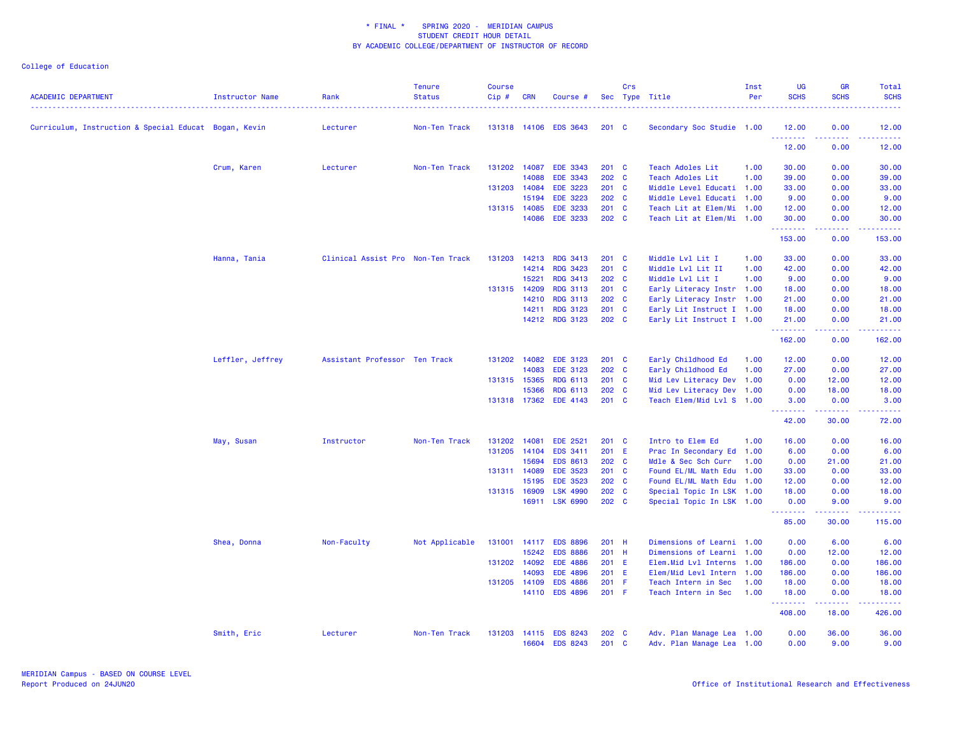| <b>ACADEMIC DEPARTMENT</b>                            | Instructor Name  | Rank                              | <b>Tenure</b><br><b>Status</b> | <b>Course</b><br>Cip# | <b>CRN</b> | Course #        |               | Crs          | Sec Type Title            | Inst<br>Per | UG<br><b>SCHS</b> | <b>GR</b><br><b>SCHS</b>                                                                                                          | <b>Total</b><br><b>SCHS</b> |
|-------------------------------------------------------|------------------|-----------------------------------|--------------------------------|-----------------------|------------|-----------------|---------------|--------------|---------------------------|-------------|-------------------|-----------------------------------------------------------------------------------------------------------------------------------|-----------------------------|
| Curriculum, Instruction & Special Educat Bogan, Kevin |                  | Lecturer                          | Non-Ten Track                  | 131318                |            | 14106 EDS 3643  | $201 \quad C$ |              | Secondary Soc Studie 1.00 |             | 12.00<br>.        | 0.00<br>بالأباد                                                                                                                   | 12.00<br>.                  |
|                                                       |                  |                                   |                                |                       |            |                 |               |              |                           |             | 12.00             | 0.00                                                                                                                              | 12.00                       |
|                                                       | Crum, Karen      | Lecturer                          | Non-Ten Track                  | 131202                | 14087      | <b>EDE 3343</b> | 201 C         |              | <b>Teach Adoles Lit</b>   | 1.00        | 30.00             | 0.00                                                                                                                              | 30.00                       |
|                                                       |                  |                                   |                                |                       | 14088      | <b>EDE 3343</b> | 202 C         |              | <b>Teach Adoles Lit</b>   | 1.00        | 39.00             | 0.00                                                                                                                              | 39.00                       |
|                                                       |                  |                                   |                                | 131203                | 14084      | <b>EDE 3223</b> | $201$ C       |              | Middle Level Educati 1.00 |             | 33.00             | 0.00                                                                                                                              | 33.00                       |
|                                                       |                  |                                   |                                |                       | 15194      | <b>EDE 3223</b> | 202 C         |              | Middle Level Educati 1.00 |             | 9.00              | 0.00                                                                                                                              | 9.00                        |
|                                                       |                  |                                   |                                | 131315 14085          |            | <b>EDE 3233</b> | 201<br>202 C  | C            | Teach Lit at Elem/Mi      | 1.00        | 12.00             | 0.00                                                                                                                              | 12.00                       |
|                                                       |                  |                                   |                                |                       |            | 14086 EDE 3233  |               |              | Teach Lit at Elem/Mi      | 1.00        | 30.00<br>.        | 0.00<br>$\frac{1}{2} \left( \frac{1}{2} \right) \left( \frac{1}{2} \right) \left( \frac{1}{2} \right) \left( \frac{1}{2} \right)$ | 30.00<br>.                  |
|                                                       |                  |                                   |                                |                       |            |                 |               |              |                           |             | 153.00            | 0.00                                                                                                                              | 153.00                      |
|                                                       | Hanna, Tania     | Clinical Assist Pro Non-Ten Track |                                | 131203                | 14213      | <b>RDG 3413</b> | 201 C         |              | Middle Lvl Lit I          | 1.00        | 33.00             | 0.00                                                                                                                              | 33.00                       |
|                                                       |                  |                                   |                                |                       | 14214      | <b>RDG 3423</b> | 201           | <b>C</b>     | Middle Lvl Lit II         | 1.00        | 42.00             | 0.00                                                                                                                              | 42.00                       |
|                                                       |                  |                                   |                                |                       | 15221      | <b>RDG 3413</b> | 202 C         |              | Middle Lvl Lit I          | 1.00        | 9.00              | 0.00                                                                                                                              | 9.00                        |
|                                                       |                  |                                   |                                | 131315 14209          |            | <b>RDG 3113</b> | 201 C         |              | Early Literacy Instr 1.00 |             | 18.00             | 0.00                                                                                                                              | 18.00                       |
|                                                       |                  |                                   |                                |                       | 14210      | <b>RDG 3113</b> | 202           | <b>C</b>     | Early Literacy Instr      | 1.00        | 21.00             | 0.00                                                                                                                              | 21.00                       |
|                                                       |                  |                                   |                                |                       | 14211      | <b>RDG 3123</b> | 201 C         |              | Early Lit Instruct I 1.00 |             | 18.00             | 0.00                                                                                                                              | 18.00                       |
|                                                       |                  |                                   |                                |                       |            | 14212 RDG 3123  | 202 C         |              | Early Lit Instruct I 1.00 |             | 21.00<br>.        | 0.00<br>.                                                                                                                         | 21.00<br>.                  |
|                                                       |                  |                                   |                                |                       |            |                 |               |              |                           |             | 162.00            | 0.00                                                                                                                              | 162.00                      |
|                                                       | Leffler, Jeffrey | Assistant Professor Ten Track     |                                | 131202                | 14082      | <b>EDE 3123</b> | $201$ C       |              | Early Childhood Ed        | 1.00        | 12.00             | 0.00                                                                                                                              | 12.00                       |
|                                                       |                  |                                   |                                |                       | 14083      | <b>EDE 3123</b> | $202 \quad C$ |              | Early Childhood Ed        | 1.00        | 27.00             | 0.00                                                                                                                              | 27.00                       |
|                                                       |                  |                                   |                                | 131315 15365          |            | <b>RDG 6113</b> | $201$ C       |              | Mid Lev Literacy Dev 1.00 |             | 0.00              | 12.00                                                                                                                             | 12.00                       |
|                                                       |                  |                                   |                                |                       | 15366      | RDG 6113        | 202           | C            | Mid Lev Literacy Dev      | 1.00        | 0.00              | 18.00                                                                                                                             | 18.00                       |
|                                                       |                  |                                   |                                | 131318                | 17362      | EDE 4143        | 201 C         |              | Teach Elem/Mid Lvl S 1.00 |             | 3.00<br>.         | 0.00<br>22222                                                                                                                     | 3.00<br>.                   |
|                                                       |                  |                                   |                                |                       |            |                 |               |              |                           |             | 42.00             | 30.00                                                                                                                             | 72.00                       |
|                                                       | May, Susan       | Instructor                        | Non-Ten Track                  | 131202                | 14081      | <b>EDE 2521</b> | $201$ C       |              | Intro to Elem Ed          | 1.00        | 16.00             | 0.00                                                                                                                              | 16.00                       |
|                                                       |                  |                                   |                                | 131205                | 14104      | EDS 3411        | 201 E         |              | Prac In Secondary Ed      | 1.00        | 6.00              | 0.00                                                                                                                              | 6.00                        |
|                                                       |                  |                                   |                                |                       | 15694      | <b>EDS 8613</b> | 202 C         |              | Mdle & Sec Sch Curr       | 1.00        | 0.00              | 21.00                                                                                                                             | 21.00                       |
|                                                       |                  |                                   |                                | 131311 14089          |            | <b>EDE 3523</b> | 201 C         |              | Found EL/ML Math Edu      | 1.00        | 33.00             | 0.00                                                                                                                              | 33.00                       |
|                                                       |                  |                                   |                                |                       | 15195      | <b>EDE 3523</b> | 202           | $\mathbf{C}$ | Found EL/ML Math Edu      | 1.00        | 12.00             | 0.00                                                                                                                              | 12.00                       |
|                                                       |                  |                                   |                                | 131315                | 16909      | <b>LSK 4990</b> | 202           | $\mathbf{C}$ | Special Topic In LSK 1.00 |             | 18.00             | 0.00                                                                                                                              | 18.00                       |
|                                                       |                  |                                   |                                |                       |            | 16911 LSK 6990  | 202 C         |              | Special Topic In LSK 1.00 |             | 0.00<br>.         | 9.00<br>.                                                                                                                         | 9.00<br>.                   |
|                                                       |                  |                                   |                                |                       |            |                 |               |              |                           |             | 85.00             | 30.00                                                                                                                             | 115.00                      |
|                                                       | Shea, Donna      | Non-Faculty                       | Not Applicable                 | 131001                | 14117      | <b>EDS 8896</b> | 201 H         |              | Dimensions of Learni 1.00 |             | 0.00              | 6.00                                                                                                                              | 6.00                        |
|                                                       |                  |                                   |                                |                       | 15242      | <b>EDS 8886</b> | 201 H         |              | Dimensions of Learni      | 1.00        | 0.00              | 12.00                                                                                                                             | 12.00                       |
|                                                       |                  |                                   |                                | 131202                | 14092      | <b>EDE 4886</b> | 201 E         |              | Elem.Mid Lvl Interns      | 1.00        | 186.00            | 0.00                                                                                                                              | 186.00                      |
|                                                       |                  |                                   |                                |                       | 14093      | <b>EDE 4896</b> | 201           | Ε            | Elem/Mid Levl Intern      | 1.00        | 186.00            | 0.00                                                                                                                              | 186.00                      |
|                                                       |                  |                                   |                                | 131205                | 14109      | <b>EDS 4886</b> | 201           | -F           | Teach Intern in Sec       | 1.00        | 18.00             | 0.00                                                                                                                              | 18.00                       |
|                                                       |                  |                                   |                                |                       |            | 14110 EDS 4896  | 201 F         |              | Teach Intern in Sec       | 1.00        | 18.00<br>.        | 0.00<br>22222                                                                                                                     | 18.00<br>22222              |
|                                                       |                  |                                   |                                |                       |            |                 |               |              |                           |             | 408.00            | 18.00                                                                                                                             | 426.00                      |
|                                                       | Smith, Eric      | Lecturer                          | Non-Ten Track                  | 131203                | 14115      | <b>EDS 8243</b> | $202 \quad C$ |              | Adv. Plan Manage Lea 1.00 |             | 0.00              | 36.00                                                                                                                             | 36.00                       |
|                                                       |                  |                                   |                                |                       | 16604      | <b>EDS 8243</b> | $201$ C       |              | Adv. Plan Manage Lea 1.00 |             | 0.00              | 9.00                                                                                                                              | 9.00                        |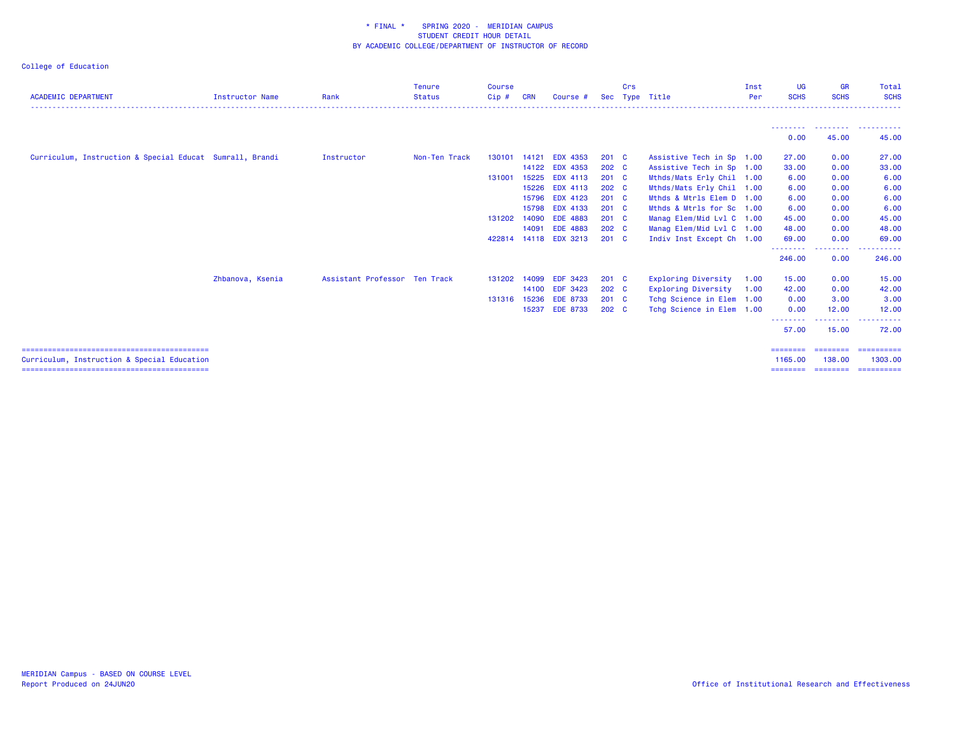| <b>ACADEMIC DEPARTMENT</b>                               | <b>Instructor Name</b> | Rank                          | <b>Tenure</b><br><b>Status</b> | <b>Course</b><br>Cip# | <b>CRN</b> | Course #              | Sec              | Crs | Type Title                 | Inst<br>Per | <b>UG</b><br><b>SCHS</b> | <b>GR</b><br><b>SCHS</b> | Total<br><b>SCHS</b>            |
|----------------------------------------------------------|------------------------|-------------------------------|--------------------------------|-----------------------|------------|-----------------------|------------------|-----|----------------------------|-------------|--------------------------|--------------------------|---------------------------------|
|                                                          |                        |                               |                                |                       |            |                       |                  |     |                            |             | --------                 |                          | --------- ----------            |
|                                                          |                        |                               |                                |                       |            |                       |                  |     |                            |             | 0.00                     | 45.00                    | 45.00                           |
| Curriculum, Instruction & Special Educat Sumrall, Brandi |                        | <b>Instructor</b>             | Non-Ten Track                  | 130101                |            | 14121 EDX 4353        | $201 \quad C$    |     | Assistive Tech in Sp 1.00  |             | 27.00                    | 0.00                     | 27.00                           |
|                                                          |                        |                               |                                |                       |            | 14122 EDX 4353        | 202 <sub>c</sub> |     | Assistive Tech in Sp 1.00  |             | 33.00                    | 0.00                     | 33.00                           |
|                                                          |                        |                               |                                | 131001                |            | 15225 EDX 4113        | $201$ C          |     | Mthds/Mats Erly Chil 1.00  |             | 6.00                     | 0.00                     | 6.00                            |
|                                                          |                        |                               |                                |                       | 15226      | <b>EDX 4113</b>       | 202 <sub>c</sub> |     | Mthds/Mats Erly Chil 1.00  |             | 6.00                     | 0.00                     | 6.00                            |
|                                                          |                        |                               |                                |                       |            | 15796 EDX 4123        | $201$ C          |     | Mthds & Mtrls Elem D 1.00  |             | 6.00                     | 0.00                     | 6.00                            |
|                                                          |                        |                               |                                |                       |            | 15798 EDX 4133        | $201 \quad C$    |     | Mthds & Mtrls for Sc 1.00  |             | 6.00                     | 0.00                     | 6.00                            |
|                                                          |                        |                               |                                | 131202                |            | 14090 EDE 4883        | $201$ C          |     | Manag Elem/Mid Lvl C 1.00  |             | 45.00                    | 0.00                     | 45.00                           |
|                                                          |                        |                               |                                |                       |            | 14091 EDE 4883        | $202 \quad C$    |     | Manag Elem/Mid Lvl C 1.00  |             | 48.00                    | 0.00                     | 48.00                           |
|                                                          |                        |                               |                                |                       |            | 422814 14118 EDX 3213 | $201 \quad C$    |     | Indiv Inst Except Ch 1.00  |             | 69.00                    | 0.00                     | 69.00                           |
|                                                          |                        |                               |                                |                       |            |                       |                  |     |                            |             | .<br>246.00              | --------<br>0.00         | .<br>246.00                     |
|                                                          | Zhbanova, Ksenia       | Assistant Professor Ten Track |                                | 131202                |            | 14099 EDF 3423        | $201 \quad C$    |     | <b>Exploring Diversity</b> | 1.00        | 15.00                    | 0.00                     | 15.00                           |
|                                                          |                        |                               |                                |                       |            | 14100 EDF 3423        | 202 C            |     | Exploring Diversity        | 1.00        | 42.00                    | 0.00                     | 42.00                           |
|                                                          |                        |                               |                                |                       |            | 131316 15236 EDE 8733 | $201 \quad C$    |     | Tchg Science in Elem 1.00  |             | 0.00                     | 3.00                     | 3.00                            |
|                                                          |                        |                               |                                |                       |            | 15237 EDE 8733        | 202 <sub>c</sub> |     | Tchg Science in Elem 1.00  |             | 0.00                     | 12.00                    | 12.00                           |
|                                                          |                        |                               |                                |                       |            |                       |                  |     |                            |             | .<br>57.00               | -------<br>15.00         | .<br>.<br>72.00                 |
|                                                          |                        |                               |                                |                       |            |                       |                  |     |                            |             | $=$ = = = = = = =        | ========                 | -----------                     |
| Curriculum, Instruction & Special Education              |                        |                               |                                |                       |            |                       |                  |     |                            |             | 1165.00<br>========      | 138,00                   | 1303.00<br>-------------------- |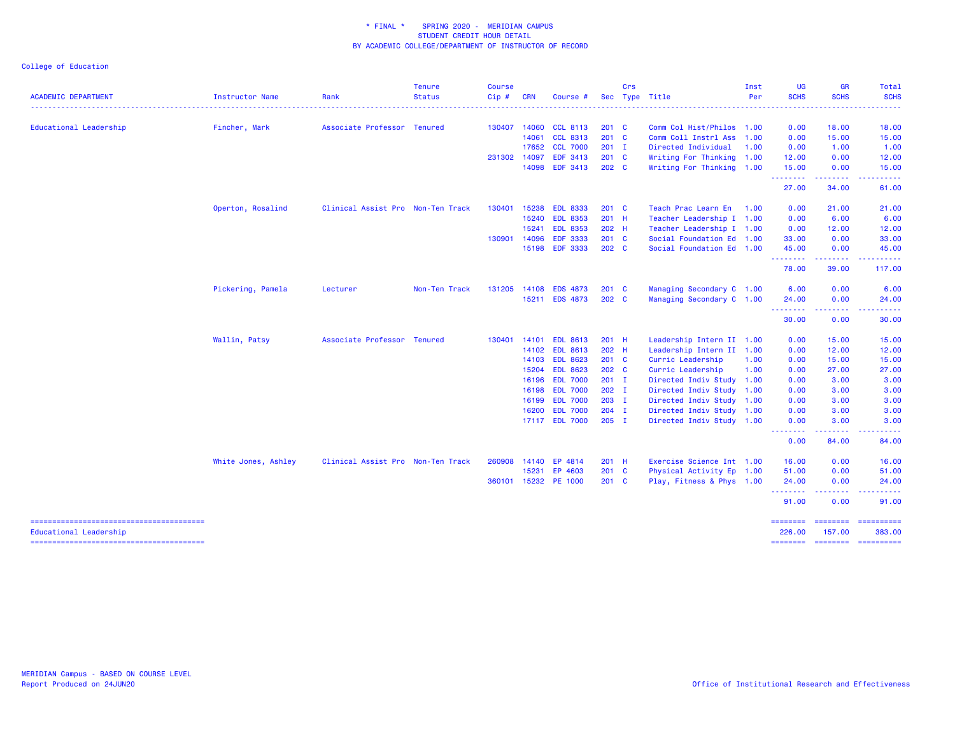|                            |                     |                                   | <b>Tenure</b> | <b>Course</b> |            |                                  |                    | Crs |                                                        | Inst | <b>UG</b>          | <b>GR</b>    | Total                                 |
|----------------------------|---------------------|-----------------------------------|---------------|---------------|------------|----------------------------------|--------------------|-----|--------------------------------------------------------|------|--------------------|--------------|---------------------------------------|
| <b>ACADEMIC DEPARTMENT</b> | Instructor Name     | Rank                              | <b>Status</b> | Cip#          | <b>CRN</b> | Course #                         |                    |     | Sec Type Title                                         | Per  | <b>SCHS</b>        | <b>SCHS</b>  | <b>SCHS</b>                           |
| Educational Leadership     | Fincher, Mark       | Associate Professor Tenured       |               | 130407        |            | 14060 CCL 8113                   | $201 \quad C$      |     | Comm Col Hist/Philos 1.00                              |      | 0.00               | 18.00        | 18.00                                 |
|                            |                     |                                   |               |               | 14061      | <b>CCL 8313</b>                  | $201$ C            |     | Comm Coll Instrl Ass                                   | 1.00 | 0.00               | 15.00        | 15.00                                 |
|                            |                     |                                   |               |               |            | 17652 CCL 7000                   | $201$ I            |     | Directed Individual                                    | 1.00 | 0.00               | 1.00         | 1.00                                  |
|                            |                     |                                   |               | 231302        | 14097      | <b>EDF 3413</b>                  | 201 C              |     | Writing For Thinking 1.00                              |      | 12.00              | 0.00         | 12.00                                 |
|                            |                     |                                   |               |               |            | 14098 EDF 3413                   | 202 <sub>c</sub>   |     | Writing For Thinking 1.00                              |      | 15.00<br><u>.</u>  | 0.00         | 15.00                                 |
|                            |                     |                                   |               |               |            |                                  |                    |     |                                                        |      | 27.00              | 34.00        | 61.00                                 |
|                            | Operton, Rosalind   | Clinical Assist Pro Non-Ten Track |               | 130401        | 15238      | <b>EDL 8333</b>                  | $201$ C            |     | Teach Prac Learn En                                    | 1.00 | 0.00               | 21.00        | 21.00                                 |
|                            |                     |                                   |               |               | 15240      | <b>EDL 8353</b>                  | 201 H              |     | Teacher Leadership I 1.00                              |      | 0.00               | 6.00         | 6.00                                  |
|                            |                     |                                   |               |               | 15241      | <b>EDL 8353</b>                  | 202 H              |     | Teacher Leadership I 1.00                              |      | 0.00               | 12.00        | 12.00                                 |
|                            |                     |                                   |               | 130901        | 14096      | <b>EDF 3333</b>                  | 201 C              |     | Social Foundation Ed 1.00                              |      | 33.00              | 0.00         | 33.00                                 |
|                            |                     |                                   |               |               |            | 15198 EDF 3333                   | 202 <sub>c</sub>   |     | Social Foundation Ed 1.00                              |      | 45.00<br>--------- | 0.00<br>.    | 45.00                                 |
|                            |                     |                                   |               |               |            |                                  |                    |     |                                                        |      | 78.00              | 39.00        | 117.00                                |
|                            | Pickering, Pamela   | Lecturer                          | Non-Ten Track | 131205        |            | 14108 EDS 4873                   | $201$ C            |     | Managing Secondary C 1.00                              |      | 6.00               | 0.00         | 6.00                                  |
|                            |                     |                                   |               |               |            | 15211 EDS 4873                   | 202 C              |     | Managing Secondary C 1.00                              |      | 24.00              | 0.00         | 24.00                                 |
|                            |                     |                                   |               |               |            |                                  |                    |     |                                                        |      | --------<br>30.00  | .<br>0.00    | <u>.</u><br>30.00                     |
|                            | Wallin, Patsy       | Associate Professor Tenured       |               | 130401        | 14101      | <b>EDL 8613</b>                  | $201$ H            |     | Leadership Intern II 1.00                              |      | 0.00               | 15.00        | 15.00                                 |
|                            |                     |                                   |               |               |            | 14102 EDL 8613                   | 202 H              |     | Leadership Intern II 1.00                              |      | 0.00               | 12.00        | 12.00                                 |
|                            |                     |                                   |               |               |            | 14103 EDL 8623                   | 201 C              |     | Curric Leadership                                      | 1.00 | 0.00               | 15.00        | 15.00                                 |
|                            |                     |                                   |               |               |            | 15204 EDL 8623                   | 202 C              |     | Curric Leadership                                      | 1.00 | 0.00               | 27.00        | 27.00                                 |
|                            |                     |                                   |               |               |            | 16196 EDL 7000                   | $201$ I            |     | Directed Indiv Study 1.00                              |      | 0.00               | 3.00         | 3.00                                  |
|                            |                     |                                   |               |               |            | 16198 EDL 7000                   | 202 <sub>1</sub>   |     | Directed Indiv Study 1.00                              |      | 0.00               | 3.00         | 3.00                                  |
|                            |                     |                                   |               |               |            | 16199 EDL 7000                   | $203$ I            |     | Directed Indiv Study 1.00                              |      | 0.00               | 3.00         | 3.00                                  |
|                            |                     |                                   |               |               |            | 16200 EDL 7000<br>17117 EDL 7000 | $204$ I<br>$205$ I |     | Directed Indiv Study 1.00<br>Directed Indiv Study 1.00 |      | 0.00<br>0.00       | 3.00<br>3.00 | 3.00<br>3.00                          |
|                            |                     |                                   |               |               |            |                                  |                    |     |                                                        |      | .                  | .            | $- - - - -$                           |
|                            |                     |                                   |               |               |            |                                  |                    |     |                                                        |      | 0.00               | 84.00        | 84.00                                 |
|                            | White Jones, Ashley | Clinical Assist Pro Non-Ten Track |               | 260908        | 14140      | EP 4814                          | $201$ H            |     | Exercise Science Int 1.00                              |      | 16.00              | 0.00         | 16.00                                 |
|                            |                     |                                   |               |               | 15231      | EP 4603                          | 201 C              |     | Physical Activity Ep 1.00                              |      | 51.00              | 0.00         | 51.00                                 |
|                            |                     |                                   |               |               |            | 360101 15232 PE 1000             | $201$ C            |     | Play, Fitness & Phys 1.00                              |      | 24.00<br><b></b>   | 0.00<br>.    | 24.00                                 |
|                            |                     |                                   |               |               |            |                                  |                    |     |                                                        |      | 91.00              | 0.00         | 91.00                                 |
| Educational Leadership     |                     |                                   |               |               |            |                                  |                    |     |                                                        |      | 226.00             | 157.00       | ======== ======== =========<br>383.00 |